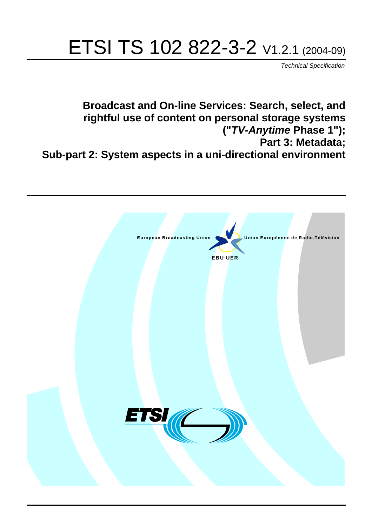# ETSI TS 102 822-3-2 V1.2.1 (2004-09)

Technical Specification

**Broadcast and On-line Services: Search, select, and rightful use of content on personal storage systems ("TV-Anytime Phase 1"); Part 3: Metadata; Sub-part 2: System aspects in a uni-directional environment**

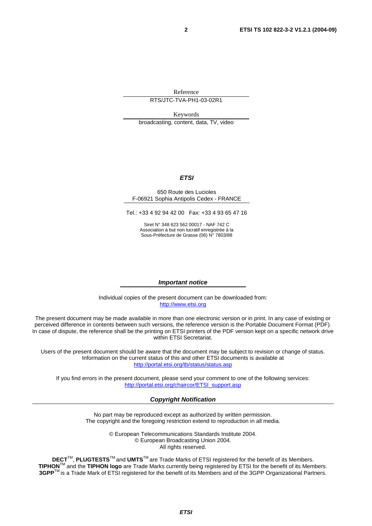Reference RTS/JTC-TVA-PH1-03-02R1

Keywords

broadcasting, content, data, TV, video

#### **ETSI**

#### 650 Route des Lucioles F-06921 Sophia Antipolis Cedex - FRANCE

Tel.: +33 4 92 94 42 00 Fax: +33 4 93 65 47 16

Siret N° 348 623 562 00017 - NAF 742 C Association à but non lucratif enregistrée à la Sous-Préfecture de Grasse (06) N° 7803/88

#### **Important notice**

Individual copies of the present document can be downloaded from: [http://www.etsi.org](http://www.etsi.org/)

The present document may be made available in more than one electronic version or in print. In any case of existing or perceived difference in contents between such versions, the reference version is the Portable Document Format (PDF). In case of dispute, the reference shall be the printing on ETSI printers of the PDF version kept on a specific network drive within ETSI Secretariat.

Users of the present document should be aware that the document may be subject to revision or change of status. Information on the current status of this and other ETSI documents is available at <http://portal.etsi.org/tb/status/status.asp>

If you find errors in the present document, please send your comment to one of the following services: [http://portal.etsi.org/chaircor/ETSI\\_support.asp](http://portal.etsi.org/chaircor/ETSI_support.asp)

#### **Copyright Notification**

No part may be reproduced except as authorized by written permission. The copyright and the foregoing restriction extend to reproduction in all media.

> © European Telecommunications Standards Institute 2004. © European Broadcasting Union 2004. All rights reserved.

**DECT**TM, **PLUGTESTS**TM and **UMTS**TM are Trade Marks of ETSI registered for the benefit of its Members. **TIPHON**TM and the **TIPHON logo** are Trade Marks currently being registered by ETSI for the benefit of its Members. **3GPP**TM is a Trade Mark of ETSI registered for the benefit of its Members and of the 3GPP Organizational Partners.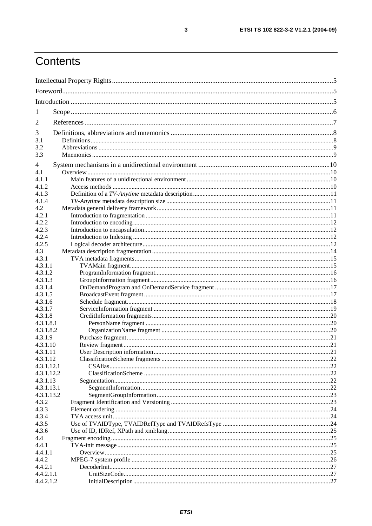# Contents

| 1                    |  |  |  |
|----------------------|--|--|--|
| 2                    |  |  |  |
|                      |  |  |  |
| 3<br>3.1             |  |  |  |
| 3.2                  |  |  |  |
| 3.3                  |  |  |  |
|                      |  |  |  |
| 4                    |  |  |  |
| 4.1<br>4.1.1         |  |  |  |
| 4.1.2                |  |  |  |
| 4.1.3                |  |  |  |
| 4.1.4                |  |  |  |
| 4.2                  |  |  |  |
| 4.2.1                |  |  |  |
| 4.2.2                |  |  |  |
| 4.2.3                |  |  |  |
| 4.2.4                |  |  |  |
| 4.2.5                |  |  |  |
| 4.3                  |  |  |  |
| 4.3.1                |  |  |  |
| 4.3.1.1              |  |  |  |
| 4.3.1.2              |  |  |  |
| 4.3.1.3              |  |  |  |
| 4.3.1.4              |  |  |  |
| 4.3.1.5              |  |  |  |
| 4.3.1.6              |  |  |  |
| 4.3.1.7              |  |  |  |
| 4.3.1.8              |  |  |  |
| 4.3.1.8.1            |  |  |  |
| 4.3.1.8.2<br>4.3.1.9 |  |  |  |
| 4.3.1.10             |  |  |  |
| 4.3.1.11             |  |  |  |
| 4.3.1.12             |  |  |  |
| 4.3.1.12.1           |  |  |  |
| 4.3.1.12.2           |  |  |  |
| 4.3.1.13             |  |  |  |
| 4.3.1.13.1           |  |  |  |
| 4.3.1.13.2           |  |  |  |
| 4.3.2                |  |  |  |
| 4.3.3                |  |  |  |
| 4.3.4                |  |  |  |
| 4.3.5                |  |  |  |
| 4.3.6                |  |  |  |
| 4.4                  |  |  |  |
| 4.4.1                |  |  |  |
| 4.4.1.1              |  |  |  |
| 4.4.2                |  |  |  |
| 4.4.2.1<br>4.4.2.1.1 |  |  |  |
| 4.4.2.1.2            |  |  |  |
|                      |  |  |  |

 $\mathbf{3}$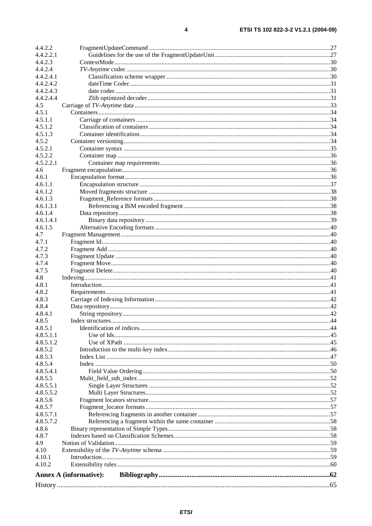| 4.4.2.2              |                               |     |
|----------------------|-------------------------------|-----|
| 4.4.2.2.1            |                               |     |
| 4.4.2.3              |                               |     |
| 4.4.2.4              |                               |     |
| 4.4.2.4.1            |                               |     |
| 4.4.2.4.2            |                               |     |
| 4.4.2.4.3            |                               |     |
| 4.4.2.4.4            |                               |     |
| 4.5                  |                               |     |
| 4.5.1                |                               |     |
| 4.5.1.1              |                               |     |
| 4.5.1.2              |                               |     |
| 4.5.1.3              |                               |     |
| 4.5.2                |                               |     |
| 4.5.2.1              |                               |     |
| 4.5.2.2              |                               |     |
| 4.5.2.2.1            |                               |     |
| 4.6                  |                               |     |
| 4.6.1                |                               |     |
| 4.6.1.1              |                               |     |
| 4.6.1.2              |                               |     |
| 4.6.1.3<br>4.6.1.3.1 |                               |     |
| 4.6.1.4              |                               |     |
| 4.6.1.4.1            |                               |     |
| 4.6.1.5              |                               |     |
| 4.7                  |                               |     |
| 4.7.1                |                               |     |
| 4.7.2                |                               |     |
| 4.7.3                |                               |     |
| 4.7.4                |                               |     |
| 4.7.5                |                               |     |
| 4.8                  |                               |     |
| 4.8.1                |                               |     |
| 4.8.2                |                               |     |
| 4.8.3                |                               |     |
| 4.8.4                |                               |     |
| 4.8.4.1              |                               |     |
| 4.8.5                |                               |     |
| 4.8.5.1              |                               |     |
| 4.8.5.1.1            |                               |     |
| 4.8.5.1.2            |                               |     |
| 4.8.5.2              |                               |     |
| 4.8.5.3              |                               |     |
| 4.8.5.4              |                               |     |
| 4.8.5.4.1<br>4.8.5.5 |                               |     |
| 4.8.5.5.1            |                               |     |
| 4.8.5.5.2            |                               |     |
| 4.8.5.6              |                               |     |
| 4.8.5.7              |                               |     |
| 4.8.5.7.1            |                               |     |
| 4.8.5.7.2            |                               |     |
| 4.8.6                |                               |     |
| 4.8.7                |                               |     |
| 4.9                  |                               |     |
| 4.10                 |                               |     |
| 4.10.1               |                               |     |
| 4.10.2               |                               |     |
|                      | <b>Annex A (informative):</b> |     |
| History.             |                               | .65 |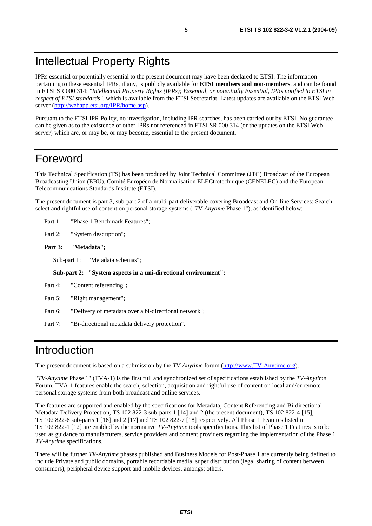# Intellectual Property Rights

IPRs essential or potentially essential to the present document may have been declared to ETSI. The information pertaining to these essential IPRs, if any, is publicly available for **ETSI members and non-members**, and can be found in ETSI SR 000 314: *"Intellectual Property Rights (IPRs); Essential, or potentially Essential, IPRs notified to ETSI in respect of ETSI standards"*, which is available from the ETSI Secretariat. Latest updates are available on the ETSI Web server (<http://webapp.etsi.org/IPR/home.asp>).

Pursuant to the ETSI IPR Policy, no investigation, including IPR searches, has been carried out by ETSI. No guarantee can be given as to the existence of other IPRs not referenced in ETSI SR 000 314 (or the updates on the ETSI Web server) which are, or may be, or may become, essential to the present document.

# Foreword

This Technical Specification (TS) has been produced by Joint Technical Committee (JTC) Broadcast of the European Broadcasting Union (EBU), Comité Européen de Normalisation ELECtrotechnique (CENELEC) and the European Telecommunications Standards Institute (ETSI).

The present document is part 3, sub-part 2 of a multi-part deliverable covering Broadcast and On-line Services: Search, select and rightful use of content on personal storage systems ("*TV-Anytime* Phase 1"), as identified below:

Part 1: "Phase 1 Benchmark Features";

Part 2: "System description";

#### **Part 3: "Metadata";**

Sub-part 1: "Metadata schemas";

**Sub-part 2: "System aspects in a uni-directional environment";** 

| Part 4: |  | "Content referencing"; |  |
|---------|--|------------------------|--|
|---------|--|------------------------|--|

- Part 5: "Right management";
- Part 6: "Delivery of metadata over a bi-directional network";

Part 7: "Bi-directional metadata delivery protection".

# Introduction

The present document is based on a submission by the *TV-Anytime* forum ([http://www.TV-Anytime.org](http://www.tv-anytime.org/)).

"*TV-Anytime* Phase 1" (TVA-1) is the first full and synchronized set of specifications established by the *TV-Anytime* Forum. TVA-1 features enable the search, selection, acquisition and rightful use of content on local and/or remote personal storage systems from both broadcast and online services.

The features are supported and enabled by the specifications for Metadata, Content Referencing and Bi-directional Metadata Delivery Protection, TS 102 822-3 sub-parts 1 [14] and 2 (the present document), TS 102 822-4 [15], TS 102 822-6 sub-parts 1 [16] and 2 [17] and TS 102 822-7 [18] respectively. All Phase 1 Features listed in TS 102 822-1 [12] are enabled by the normative *TV-Anytime* tools specifications. This list of Phase 1 Features is to be used as guidance to manufacturers, service providers and content providers regarding the implementation of the Phase 1 *TV-Anytime* specifications.

There will be further *TV-Anytime* phases published and Business Models for Post-Phase 1 are currently being defined to include Private and public domains, portable recordable media, super distribution (legal sharing of content between consumers), peripheral device support and mobile devices, amongst others.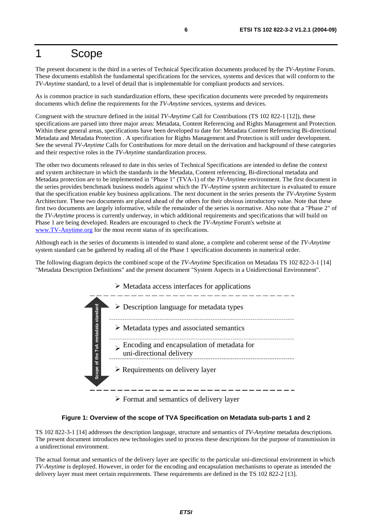# 1 Scope

The present document is the third in a series of Technical Specification documents produced by the *TV-Anytime* Forum. These documents establish the fundamental specifications for the services, systems and devices that will conform to the *TV-Anytime* standard, to a level of detail that is implementable for compliant products and services.

As is common practice in such standardization efforts, these specification documents were preceded by requirements documents which define the requirements for the *TV-Anytime* services, systems and devices.

Congruent with the structure defined in the initial *TV-Anytime* Call for Contributions (TS 102 822-1 [12]), these specifications are parsed into three major areas: Metadata, Content Referencing and Rights Management and Protection. Within these general areas, specifications have been developed to date for: Metadata Content Referencing Bi-directional Metadata and Metadata Protection . A specification for Rights Management and Protection is still under development. See the several *TV-Anytime* Calls for Contributions for more detail on the derivation and background of these categories and their respective roles in the *TV-Anytime* standardization process.

The other two documents released to date in this series of Technical Specifications are intended to define the context and system architecture in which the standards in the Metadata, Content referencing, Bi-directional metadata and Metadata protection are to be implemented in "Phase 1" (TVA-1) of the *TV-Anytime* environment. The first document in the series provides benchmark business models against which the *TV-Anytime* system architecture is evaluated to ensure that the specification enable key business applications. The next document in the series presents the *TV-Anytime* System Architecture. These two documents are placed ahead of the others for their obvious introductory value. Note that these first two documents are largely informative, while the remainder of the series is normative. Also note that a "Phase 2" of the *TV-Anytime* process is currently underway, in which additional requirements and specifications that will build on Phase 1 are being developed. Readers are encouraged to check the *TV-Anytime* Forum's website at [www.TV-Anytime.org](http://www.tv-anytime.org/) for the most recent status of its specifications.

Although each in the series of documents is intended to stand alone, a complete and coherent sense of the *TV-Anytime* system standard can be gathered by reading all of the Phase 1 specification documents in numerical order.

The following diagram depicts the combined scope of the *TV-Anytime* Specification on Metadata TS 102 822-3-1 [14] "Metadata Description Definitions" and the present document "System Aspects in a Unidirectional Environment".



#### **Figure 1: Overview of the scope of TVA Specification on Metadata sub-parts 1 and 2**

TS 102 822-3-1 [14] addresses the description language, structure and semantics of *TV-Anytime* metadata descriptions. The present document introduces new technologies used to process these descriptions for the purpose of transmission in a unidirectional environment.

The actual format and semantics of the delivery layer are specific to the particular uni-directional environment in which *TV-Anytime* is deployed. However, in order for the encoding and encapsulation mechanisms to operate as intended the delivery layer must meet certain requirements. These requirements are defined in the TS 102 822-2 [13].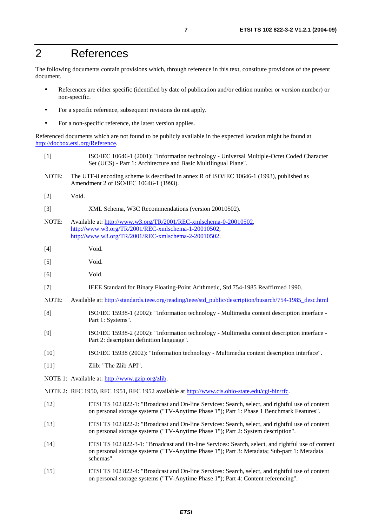# 2 References

The following documents contain provisions which, through reference in this text, constitute provisions of the present document.

- References are either specific (identified by date of publication and/or edition number or version number) or non-specific.
- For a specific reference, subsequent revisions do not apply.
- For a non-specific reference, the latest version applies.

Referenced documents which are not found to be publicly available in the expected location might be found at <http://docbox.etsi.org/Reference>.

- [1] ISO/IEC 10646-1 (2001): "Information technology Universal Multiple-Octet Coded Character Set (UCS) - Part 1: Architecture and Basic Multilingual Plane".
- NOTE: The UTF-8 encoding scheme is described in annex R of ISO/IEC 10646-1 (1993), published as Amendment 2 of ISO/IEC 10646-1 (1993).
- [2] Void.
- [3] XML Schema, W3C Recommendations (version 20010502).
- NOTE: Available at: [http://www.w3.org/TR/2001/REC-xmlschema-0-20010502,](http://www.w3.org/TR/2001/REC-xmlschema-0-20010502) [http://www.w3.org/TR/2001/REC-xmlschema-1-20010502,](http://www.w3.org/TR/2001/REC-xmlschema-1-20010502) [http://www.w3.org/TR/2001/REC-xmlschema-2-20010502.](http://www.w3.org/XML/Schema)
- [4] Void.
- [5] Void.
- [6] Void.
- [7] IEEE Standard for Binary Floating-Point Arithmetic, Std 754-1985 Reaffirmed 1990.
- NOTE: Available at: [http://standards.ieee.org/reading/ieee/std\\_public/description/busarch/754-1985\\_desc.html](http://standards.ieee.org/reading/ieee/std_public/description/busarch/754-1985_desc.html)
- [8] ISO/IEC 15938-1 (2002): "Information technology Multimedia content description interface Part 1: Systems".
- [9] ISO/IEC 15938-2 (2002): "Information technology Multimedia content description interface Part 2: description definition language".
- [10] ISO/IEC 15938 (2002): "Information technology Multimedia content description interface".
- [11] Zlib: "The Zlib API".
- NOTE 1: Available at:<http://www.gzip.org/zlib>.
- NOTE 2: RFC 1950, RFC 1951, RFC 1952 available at <http://www.cis.ohio-state.edu/cgi-bin/rfc>.
- [12] ETSI TS 102 822-1: "Broadcast and On-line Services: Search, select, and rightful use of content on personal storage systems ("TV-Anytime Phase 1"); Part 1: Phase 1 Benchmark Features".
- [13] ETSI TS 102 822-2: "Broadcast and On-line Services: Search, select, and rightful use of content on personal storage systems ("TV-Anytime Phase 1"); Part 2: System description".
- [14] ETSI TS 102 822-3-1: "Broadcast and On-line Services: Search, select, and rightful use of content on personal storage systems ("TV-Anytime Phase 1"); Part 3: Metadata; Sub-part 1: Metadata schemas".
- [15] ETSI TS 102 822-4: "Broadcast and On-line Services: Search, select, and rightful use of content on personal storage systems ("TV-Anytime Phase 1"); Part 4: Content referencing".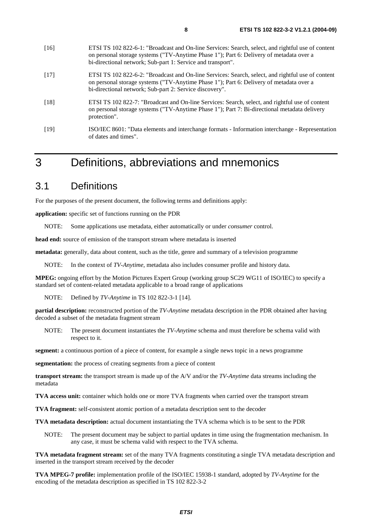| [16]   | ETSI TS 102 822-6-1: "Broadcast and On-line Services: Search, select, and rightful use of content<br>on personal storage systems ("TV-Anytime Phase 1"); Part 6: Delivery of metadata over a<br>bi-directional network; Sub-part 1: Service and transport". |
|--------|-------------------------------------------------------------------------------------------------------------------------------------------------------------------------------------------------------------------------------------------------------------|
| $[17]$ | ETSI TS 102 822-6-2: "Broadcast and On-line Services: Search, select, and rightful use of content<br>on personal storage systems ("TV-Anytime Phase 1"); Part 6: Delivery of metadata over a<br>bi-directional network; Sub-part 2: Service discovery".     |
| $[18]$ | ETSI TS 102 822-7: "Broadcast and On-line Services: Search, select, and rightful use of content<br>on personal storage systems ("TV-Anytime Phase 1"); Part 7: Bi-directional metadata delivery<br>protection".                                             |
| $[19]$ | ISO/IEC 8601: "Data elements and interchange formats - Information interchange - Representation                                                                                                                                                             |

# 3 Definitions, abbreviations and mnemonics

# 3.1 Definitions

For the purposes of the present document, the following terms and definitions apply:

**application:** specific set of functions running on the PDR

of dates and times".

NOTE: Some applications use metadata, either automatically or under *consumer* control.

**head end:** source of emission of the transport stream where metadata is inserted

**metadata:** generally, data about content, such as the title, genre and summary of a television programme

NOTE: In the context of *TV-Anytime*, metadata also includes consumer profile and history data.

**MPEG:** ongoing effort by the Motion Pictures Expert Group (working group SC29 WG11 of ISO/IEC) to specify a standard set of content-related metadata applicable to a broad range of applications

NOTE: Defined by *TV-Anytime* in TS 102 822-3-1 [14].

**partial description:** reconstructed portion of the *TV-Anytime* metadata description in the PDR obtained after having decoded a subset of the metadata fragment stream

NOTE: The present document instantiates the *TV-Anytime* schema and must therefore be schema valid with respect to it.

**segment:** a continuous portion of a piece of content, for example a single news topic in a news programme

**segmentation:** the process of creating segments from a piece of content

**transport stream:** the transport stream is made up of the A/V and/or the *TV-Anytime* data streams including the metadata

**TVA access unit:** container which holds one or more TVA fragments when carried over the transport stream

**TVA fragment:** self-consistent atomic portion of a metadata description sent to the decoder

**TVA metadata description:** actual document instantiating the TVA schema which is to be sent to the PDR

NOTE: The present document may be subject to partial updates in time using the fragmentation mechanism. In any case, it must be schema valid with respect to the TVA schema.

**TVA metadata fragment stream:** set of the many TVA fragments constituting a single TVA metadata description and inserted in the transport stream received by the decoder

**TVA MPEG-7 profile:** implementation profile of the ISO/IEC 15938-1 standard, adopted by *TV-Anytime* for the encoding of the metadata description as specified in TS 102 822-3-2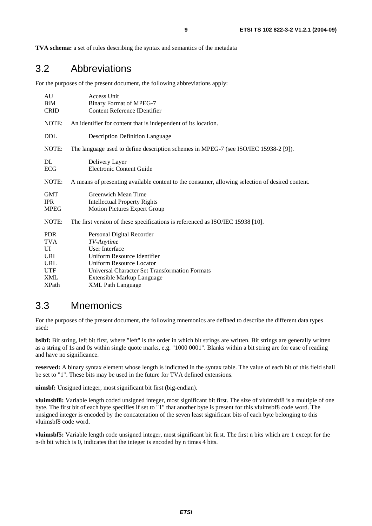**TVA schema:** a set of rules describing the syntax and semantics of the metadata

# 3.2 Abbreviations

For the purposes of the present document, the following abbreviations apply:

| AU<br>BiM<br><b>CRID</b>                | Access Unit<br><b>Binary Format of MPEG-7</b><br><b>Content Reference IDentifier</b>                     |
|-----------------------------------------|----------------------------------------------------------------------------------------------------------|
| NOTE:                                   | An identifier for content that is independent of its location.                                           |
| <b>DDL</b>                              | <b>Description Definition Language</b>                                                                   |
| NOTE:                                   | The language used to define description schemes in MPEG-7 (see ISO/IEC 15938-2 [9]).                     |
| DL<br>ECG                               | Delivery Layer<br><b>Electronic Content Guide</b>                                                        |
| NOTE:                                   | A means of presenting available content to the consumer, allowing selection of desired content.          |
| <b>GMT</b><br><b>IPR</b><br><b>MPEG</b> | <b>Greenwich Mean Time</b><br><b>Intellectual Property Rights</b><br><b>Motion Pictures Expert Group</b> |
| NOTE:                                   | The first version of these specifications is referenced as ISO/IEC 15938 [10].                           |
| <b>PDR</b><br><b>TVA</b>                | Personal Digital Recorder<br>TV-Anytime                                                                  |
| UI                                      | User Interface                                                                                           |
| <b>URI</b>                              | Uniform Resource Identifier                                                                              |
| <b>URL</b>                              | <b>Uniform Resource Locator</b>                                                                          |
| <b>UTF</b>                              | Universal Character Set Transformation Formats                                                           |
| XML                                     | Extensible Markup Language                                                                               |
| <b>XPath</b>                            | <b>XML Path Language</b>                                                                                 |

### 3.3 Mnemonics

For the purposes of the present document, the following mnemonics are defined to describe the different data types used:

**bslbf:** Bit string, left bit first, where "left" is the order in which bit strings are written. Bit strings are generally written as a string of 1s and 0s within single quote marks, e.g. "1000 0001". Blanks within a bit string are for ease of reading and have no significance.

**reserved:** A binary syntax element whose length is indicated in the syntax table. The value of each bit of this field shall be set to "1". These bits may be used in the future for TVA defined extensions.

**uimsbf:** Unsigned integer, most significant bit first (big-endian).

**vluimsbf8:** Variable length coded unsigned integer, most significant bit first. The size of vluimsbf8 is a multiple of one byte. The first bit of each byte specifies if set to "1" that another byte is present for this vluimsbf8 code word. The unsigned integer is encoded by the concatenation of the seven least significant bits of each byte belonging to this vluimsbf8 code word.

**vluimsbf5:** Variable length code unsigned integer, most significant bit first. The first n bits which are 1 except for the n-th bit which is 0, indicates that the integer is encoded by n times 4 bits.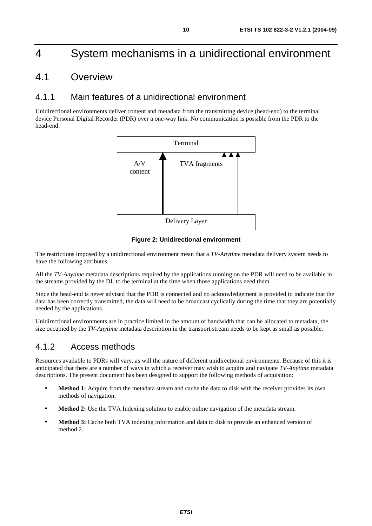# 4 System mechanisms in a unidirectional environment

# 4.1 Overview

### 4.1.1 Main features of a unidirectional environment

Unidirectional environments deliver content and metadata from the transmitting device (head-end) to the terminal device Personal Digital Recorder (PDR) over a one-way link. No communication is possible from the PDR to the head-end.



**Figure 2: Unidirectional environment** 

The restrictions imposed by a unidirectional environment mean that a *TV-Anytime* metadata delivery system needs to have the following attributes.

All the *TV-Anytime* metadata descriptions required by the applications running on the PDR will need to be available in the streams provided by the DL to the terminal at the time when those applications need them.

Since the head-end is never advised that the PDR is connected and no acknowledgement is provided to indicate that the data has been correctly transmitted, the data will need to be broadcast cyclically during the time that they are potentially needed by the applications.

Unidirectional environments are in practice limited in the amount of bandwidth that can be allocated to metadata, the size occupied by the *TV-Anytime* metadata description in the transport stream needs to be kept as small as possible.

## 4.1.2 Access methods

Resources available to PDRs will vary, as will the nature of different unidirectional environments. Because of this it is anticipated that there are a number of ways in which a receiver may wish to acquire and navigate *TV-Anytime* metadata descriptions. The present document has been designed to support the following methods of acquisition:

- **Method 1:** Acquire from the metadata stream and cache the data to disk with the receiver provides its own methods of navigation.
- **Method 2:** Use the TVA Indexing solution to enable online navigation of the metadata stream.
- **Method 3:** Cache both TVA indexing information and data to disk to provide an enhanced version of method 2.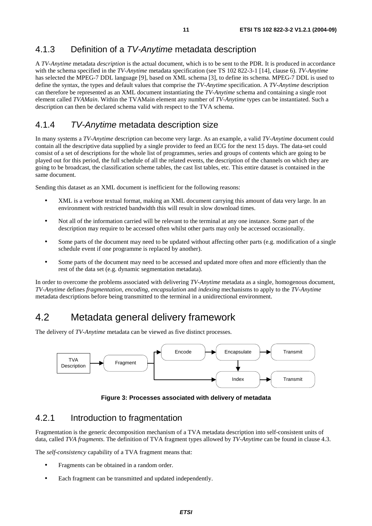## 4.1.3 Definition of a TV-Anytime metadata description

A *TV-Anytime* metadata *description* is the actual document, which is to be sent to the PDR. It is produced in accordance with the schema specified in the *TV-Anytime* metadata specification (see TS 102 822-3-1 [14], clause 6). *TV-Anytime* has selected the MPEG-7 DDL language [9], based on XML schema [3], to define its schema. MPEG-7 DDL is used to define the syntax, the types and default values that comprise the *TV-Anytime* specification. A *TV-Anytime* description can therefore be represented as an XML document instantiating the *TV-Anytime* schema and containing a single root element called *TVAMain*. Within the TVAMain element any number of *TV-Anytime* types can be instantiated. Such a description can then be declared schema valid with respect to the TVA schema.

### 4.1.4 TV-Anytime metadata description size

In many systems a *TV-Anytime* description can become very large. As an example, a valid *TV-Anytime* document could contain all the descriptive data supplied by a single provider to feed an ECG for the next 15 days. The data-set could consist of a set of descriptions for the whole list of programmes, series and groups of contents which are going to be played out for this period, the full schedule of all the related events, the description of the channels on which they are going to be broadcast, the classification scheme tables, the cast list tables, etc. This entire dataset is contained in the same document.

Sending this dataset as an XML document is inefficient for the following reasons:

- XML is a verbose textual format, making an XML document carrying this amount of data very large. In an environment with restricted bandwidth this will result in slow download times.
- Not all of the information carried will be relevant to the terminal at any one instance. Some part of the description may require to be accessed often whilst other parts may only be accessed occasionally.
- Some parts of the document may need to be updated without affecting other parts (e.g. modification of a single schedule event if one programme is replaced by another).
- Some parts of the document may need to be accessed and updated more often and more efficiently than the rest of the data set (e.g. dynamic segmentation metadata).

In order to overcome the problems associated with delivering *TV-Anytime* metadata as a single, homogenous document, *TV-Anytime* defines *fragmentation, encoding, encapsulation* and *indexing* mechanisms to apply to the *TV-Anytime* metadata descriptions before being transmitted to the terminal in a unidirectional environment.

# 4.2 Metadata general delivery framework

The delivery of *TV-Anytime* metadata can be viewed as five distinct processes.



**Figure 3: Processes associated with delivery of metadata** 

### 4.2.1 Introduction to fragmentation

Fragmentation is the generic decomposition mechanism of a TVA metadata description into self-consistent units of data, called *TVA fragments*. The definition of TVA fragment types allowed by *TV-Anytime* can be found in clause 4.3.

The *self-consistency* capability of a TVA fragment means that:

- Fragments can be obtained in a random order.
- Each fragment can be transmitted and updated independently.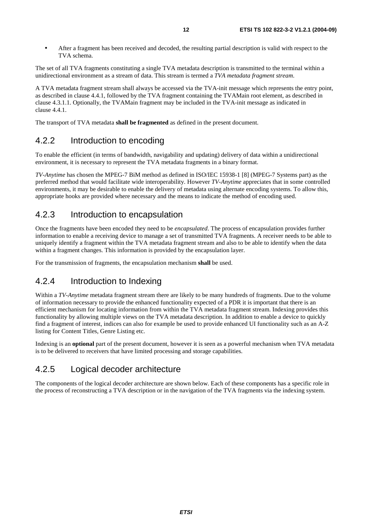• After a fragment has been received and decoded, the resulting partial description is valid with respect to the TVA schema.

The set of all TVA fragments constituting a single TVA metadata description is transmitted to the terminal within a unidirectional environment as a stream of data. This stream is termed a *TVA metadata fragment stream*.

A TVA metadata fragment stream shall always be accessed via the TVA-init message which represents the entry point, as described in clause 4.4.1, followed by the TVA fragment containing the TVAMain root element, as described in clause 4.3.1.1. Optionally, the TVAMain fragment may be included in the TVA-init message as indicated in clause 4.4.1.

The transport of TVA metadata **shall be fragmented** as defined in the present document.

### 4.2.2 Introduction to encoding

To enable the efficient (in terms of bandwidth, navigability and updating) delivery of data within a unidirectional environment, it is necessary to represent the TVA metadata fragments in a binary format.

*TV-Anytime* has chosen the MPEG-7 BiM method as defined in ISO/IEC 15938-1 [8] (MPEG-7 Systems part) as the preferred method that would facilitate wide interoperability. However *TV-Anytime* appreciates that in some controlled environments, it may be desirable to enable the delivery of metadata using alternate encoding systems. To allow this, appropriate hooks are provided where necessary and the means to indicate the method of encoding used.

### 4.2.3 Introduction to encapsulation

Once the fragments have been encoded they need to be *encapsulated*. The process of encapsulation provides further information to enable a receiving device to manage a set of transmitted TVA fragments. A receiver needs to be able to uniquely identify a fragment within the TVA metadata fragment stream and also to be able to identify when the data within a fragment changes. This information is provided by the encapsulation layer.

For the transmission of fragments, the encapsulation mechanism **shall** be used.

### 4.2.4 Introduction to Indexing

Within a *TV-Anytime* metadata fragment stream there are likely to be many hundreds of fragments. Due to the volume of information necessary to provide the enhanced functionality expected of a PDR it is important that there is an efficient mechanism for locating information from within the TVA metadata fragment stream. Indexing provides this functionality by allowing multiple views on the TVA metadata description. In addition to enable a device to quickly find a fragment of interest, indices can also for example be used to provide enhanced UI functionality such as an A-Z listing for Content Titles, Genre Listing etc.

Indexing is an **optional** part of the present document, however it is seen as a powerful mechanism when TVA metadata is to be delivered to receivers that have limited processing and storage capabilities.

# 4.2.5 Logical decoder architecture

The components of the logical decoder architecture are shown below. Each of these components has a specific role in the process of reconstructing a TVA description or in the navigation of the TVA fragments via the indexing system.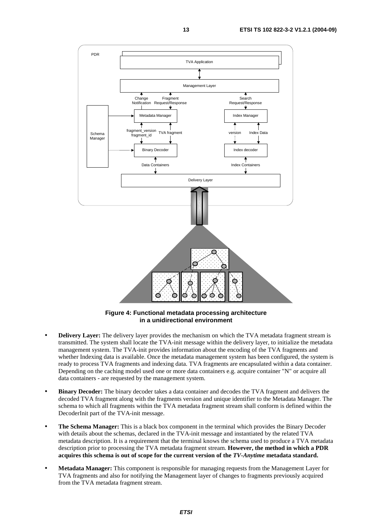

**Figure 4: Functional metadata processing architecture in a unidirectional environment** 

- **Delivery Layer:** The delivery layer provides the mechanism on which the TVA metadata fragment stream is transmitted. The system shall locate the TVA-init message within the delivery layer, to initialize the metadata management system. The TVA-init provides information about the encoding of the TVA fragments and whether Indexing data is available. Once the metadata management system has been configured, the system is ready to process TVA fragments and indexing data. TVA fragments are encapsulated within a data container. Depending on the caching model used one or more data containers e.g. acquire container "N" or acquire all data containers - are requested by the management system.
- **Binary Decoder:** The binary decoder takes a data container and decodes the TVA fragment and delivers the decoded TVA fragment along with the fragments version and unique identifier to the Metadata Manager. The schema to which all fragments within the TVA metadata fragment stream shall conform is defined within the DecoderInit part of the TVA-init message.
- **The Schema Manager:** This is a black box component in the terminal which provides the Binary Decoder with details about the schemas, declared in the TVA-init message and instantiated by the related TVA metadata description. It is a requirement that the terminal knows the schema used to produce a TVA metadata description prior to processing the TVA metadata fragment stream. **However, the method in which a PDR acquires this schema is out of scope for the current version of the** *TV-Anytime* **metadata standard.**
- **Metadata Manager:** This component is responsible for managing requests from the Management Layer for TVA fragments and also for notifying the Management layer of changes to fragments previously acquired from the TVA metadata fragment stream.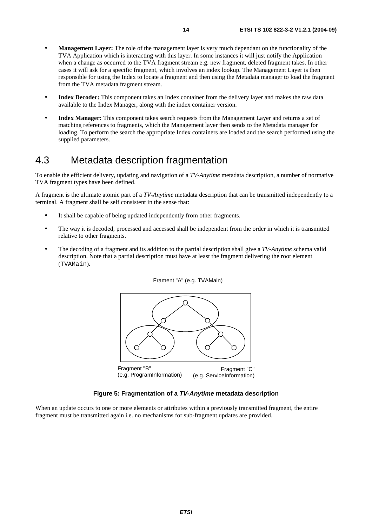- **Management Layer:** The role of the management layer is very much dependant on the functionality of the TVA Application which is interacting with this layer. In some instances it will just notify the Application when a change as occurred to the TVA fragment stream e.g. new fragment, deleted fragment takes. In other cases it will ask for a specific fragment, which involves an index lookup. The Management Layer is then responsible for using the Index to locate a fragment and then using the Metadata manager to load the fragment from the TVA metadata fragment stream.
- **Index Decoder:** This component takes an Index container from the delivery layer and makes the raw data available to the Index Manager, along with the index container version.
- **Index Manager:** This component takes search requests from the Management Layer and returns a set of matching references to fragments, which the Management layer then sends to the Metadata manager for loading. To perform the search the appropriate Index containers are loaded and the search performed using the supplied parameters.

# 4.3 Metadata description fragmentation

To enable the efficient delivery, updating and navigation of a *TV-Anytime* metadata description, a number of normative TVA fragment types have been defined.

A fragment is the ultimate atomic part of a *TV-Anytime* metadata description that can be transmitted independently to a terminal. A fragment shall be self consistent in the sense that:

- It shall be capable of being updated independently from other fragments.
- The way it is decoded, processed and accessed shall be independent from the order in which it is transmitted relative to other fragments.
- The decoding of a fragment and its addition to the partial description shall give a *TV-Anytime* schema valid description. Note that a partial description must have at least the fragment delivering the root element (TVAMain).





### **Figure 5: Fragmentation of a TV-Anytime metadata description**

When an update occurs to one or more elements or attributes within a previously transmitted fragment, the entire fragment must be transmitted again i.e. no mechanisms for sub-fragment updates are provided.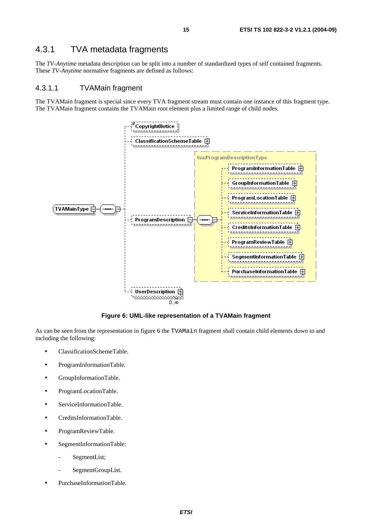# 4.3.1 TVA metadata fragments

The *TV-Anytime* metadata description can be split into a number of standardized types of self contained fragments. These *TV-Anytime* normative fragments are defined as follows:

#### 4.3.1.1 TVAMain fragment

The TVAMain fragment is special since every TVA fragment stream must contain one instance of this fragment type. The TVAMain fragment contains the TVAMain root element plus a limited range of child nodes.



**Figure 6: UML-like representation of a TVAMain fragment** 

As can be seen from the representation in figure 6 the TVAMain fragment shall contain child elements down to and including the following:

- ClassificationSchemeTable.
- ProgramInformationTable.
- GroupInformationTable.
- ProgramLocationTable.
- ServiceInformationTable.
- CreditsInformationTable.
- ProgramReviewTable.
- SegmentInformationTable:
	- SegmentList;
	- SegmentGroupList.
- PurchaseInformationTable.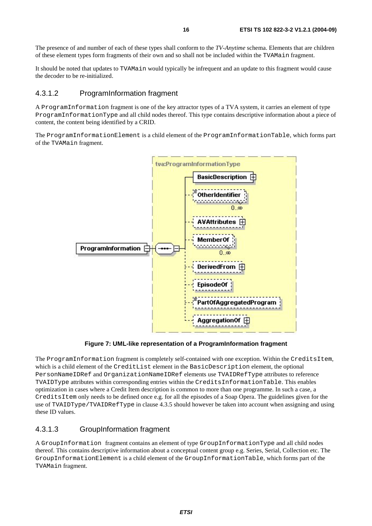The presence of and number of each of these types shall conform to the *TV-Anytime* schema. Elements that are children of these element types form fragments of their own and so shall not be included within the TVAMain fragment.

It should be noted that updates to TVAMain would typically be infrequent and an update to this fragment would cause the decoder to be re-initialized.

#### 4.3.1.2 ProgramInformation fragment

A ProgramInformation fragment is one of the key attractor types of a TVA system, it carries an element of type ProgramInformationType and all child nodes thereof. This type contains descriptive information about a piece of content, the content being identified by a CRID.

The ProgramInformationElement is a child element of the ProgramInformationTable, which forms part of the TVAMain fragment.



**Figure 7: UML-like representation of a ProgramInformation fragment** 

The ProgramInformation fragment is completely self-contained with one exception. Within the CreditsItem, which is a child element of the CreditList element in the BasicDescription element, the optional PersonNameIDRef and OrganizationNameIDRef elements use TVAIDRefType attributes to reference TVAIDType attributes within corresponding entries within the CreditsInformationTable. This enables optimization in cases where a Credit Item description is common to more than one programme. In such a case, a CreditsItem only needs to be defined once e.g. for all the episodes of a Soap Opera. The guidelines given for the use of TVAIDType/TVAIDRefType in clause 4.3.5 should however be taken into account when assigning and using these ID values.

### 4.3.1.3 GroupInformation fragment

A GroupInformation fragment contains an element of type GroupInformationType and all child nodes thereof. This contains descriptive information about a conceptual content group e.g. Series, Serial, Collection etc. The GroupInformationElement is a child element of the GroupInformationTable, which forms part of the TVAMain fragment.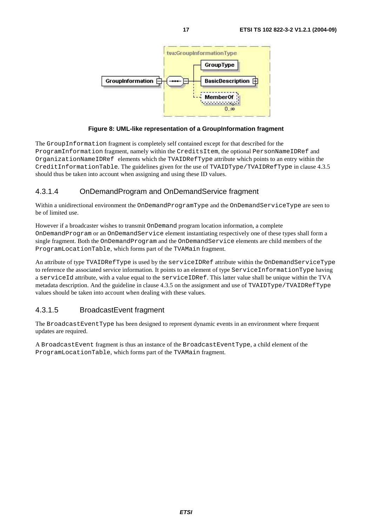

#### **Figure 8: UML-like representation of a GroupInformation fragment**

The GroupInformation fragment is completely self contained except for that described for the ProgramInformation fragment, namely within the CreditsItem, the optional PersonNameIDRef and OrganizationNameIDRef elements which the TVAIDRefType attribute which points to an entry within the CreditInformationTable. The guidelines given for the use of TVAIDType/TVAIDRefType in clause 4.3.5 should thus be taken into account when assigning and using these ID values.

### 4.3.1.4 OnDemandProgram and OnDemandService fragment

Within a unidirectional environment the OnDemandProgramType and the OnDemandServiceType are seen to be of limited use.

However if a broadcaster wishes to transmit OnDemand program location information, a complete OnDemandProgram or an OnDemandService element instantiating respectively one of these types shall form a single fragment. Both the OnDemandProgram and the OnDemandService elements are child members of the ProgramLocationTable, which forms part of the TVAMain fragment.

An attribute of type TVAIDRefType is used by the serviceIDRef attribute within the OnDemandServiceType to reference the associated service information. It points to an element of type ServiceInformationType having a serviceId attribute, with a value equal to the serviceIDRef. This latter value shall be unique within the TVA metadata description. And the guideline in clause 4.3.5 on the assignment and use of TVAIDType/TVAIDRefType values should be taken into account when dealing with these values.

### 4.3.1.5 BroadcastEvent fragment

The BroadcastEventType has been designed to represent dynamic events in an environment where frequent updates are required.

A BroadcastEvent fragment is thus an instance of the BroadcastEventType, a child element of the ProgramLocationTable, which forms part of the TVAMain fragment.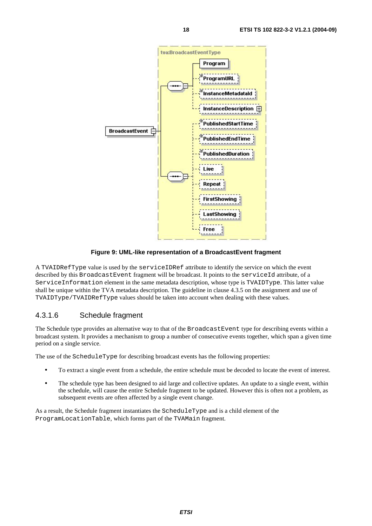

#### **Figure 9: UML-like representation of a BroadcastEvent fragment**

A TVAIDRefType value is used by the serviceIDRef attribute to identify the service on which the event described by this BroadcastEvent fragment will be broadcast. It points to the serviceId attribute, of a ServiceInformation element in the same metadata description, whose type is TVAIDType. This latter value shall be unique within the TVA metadata description. The guideline in clause 4.3.5 on the assignment and use of TVAIDType/TVAIDRefType values should be taken into account when dealing with these values.

### 4.3.1.6 Schedule fragment

The Schedule type provides an alternative way to that of the BroadcastEvent type for describing events within a broadcast system. It provides a mechanism to group a number of consecutive events together, which span a given time period on a single service.

The use of the ScheduleType for describing broadcast events has the following properties:

- To extract a single event from a schedule, the entire schedule must be decoded to locate the event of interest.
- The schedule type has been designed to aid large and collective updates. An update to a single event, within the schedule, will cause the entire Schedule fragment to be updated. However this is often not a problem, as subsequent events are often affected by a single event change.

As a result, the Schedule fragment instantiates the ScheduleType and is a child element of the ProgramLocationTable, which forms part of the TVAMain fragment.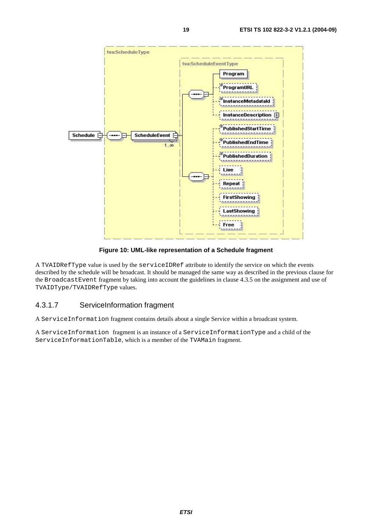

**Figure 10: UML-like representation of a Schedule fragment** 

A TVAIDRefType value is used by the serviceIDRef attribute to identify the service on which the events described by the schedule will be broadcast. It should be managed the same way as described in the previous clause for the BroadcastEvent fragment by taking into account the guidelines in clause 4.3.5 on the assignment and use of TVAIDType/TVAIDRefType values.

### 4.3.1.7 ServiceInformation fragment

A ServiceInformation fragment contains details about a single Service within a broadcast system.

A ServiceInformation fragment is an instance of a ServiceInformationType and a child of the ServiceInformationTable, which is a member of the TVAMain fragment.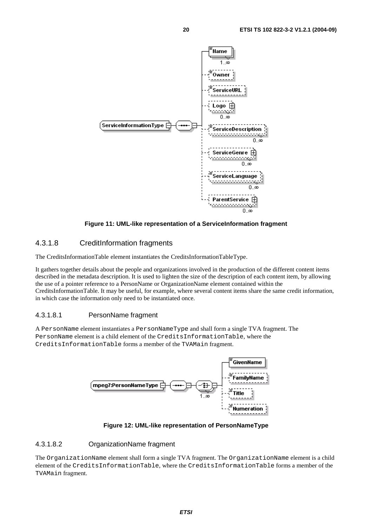

#### **Figure 11: UML-like representation of a ServiceInformation fragment**

### 4.3.1.8 CreditInformation fragments

The CreditsInformationTable element instantiates the CreditsInformationTableType.

It gathers together details about the people and organizations involved in the production of the different content items described in the metadata description. It is used to lighten the size of the description of each content item, by allowing the use of a pointer reference to a PersonName or OrganizationName element contained within the CreditsInformationTable. It may be useful, for example, where several content items share the same credit information, in which case the information only need to be instantiated once.

#### 4.3.1.8.1 PersonName fragment

A PersonName element instantiates a PersonNameType and shall form a single TVA fragment. The PersonName element is a child element of the CreditsInformationTable, where the CreditsInformationTable forms a member of the TVAMain fragment.



#### **Figure 12: UML-like representation of PersonNameType**

#### 4.3.1.8.2 OrganizationName fragment

The OrganizationName element shall form a single TVA fragment. The OrganizationName element is a child element of the CreditsInformationTable, where the CreditsInformationTable forms a member of the TVAMain fragment.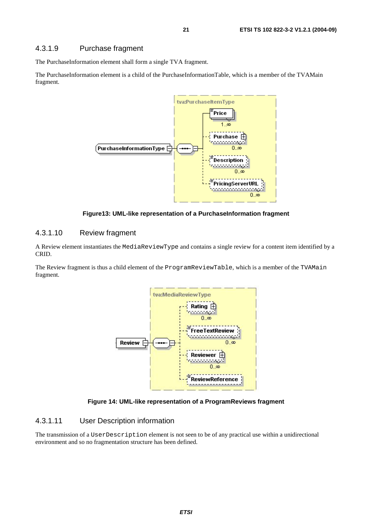### 4.3.1.9 Purchase fragment

The PurchaseInformation element shall form a single TVA fragment.

The PurchaseInformation element is a child of the PurchaseInformationTable, which is a member of the TVAMain fragment.



**Figure13: UML-like representation of a PurchaseInformation fragment** 

#### 4.3.1.10 Review fragment

A Review element instantiates the MediaReviewType and contains a single review for a content item identified by a CRID.

The Review fragment is thus a child element of the ProgramReviewTable, which is a member of the TVAMain fragment.



**Figure 14: UML-like representation of a ProgramReviews fragment** 

#### 4.3.1.11 User Description information

The transmission of a UserDescription element is not seen to be of any practical use within a unidirectional environment and so no fragmentation structure has been defined.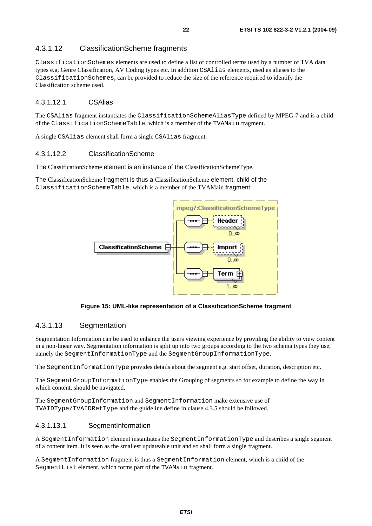### 4.3.1.12 ClassificationScheme fragments

ClassificationSchemes elements are used to define a list of controlled terms used by a number of TVA data types e.g. Genre Classification, AV Coding types etc. In addition CSAlias elements, used as aliases to the ClassificationSchemes, can be provided to reduce the size of the reference required to identify the Classification scheme used.

### 4.3.1.12.1 CSAlias

The CSAlias fragment instantiates the ClassificationSchemeAliasType defined by MPEG-7 and is a child of the ClassificationSchemeTable, which is a member of the TVAMain fragment.

A single CSAlias element shall form a single CSAlias fragment.

#### 4.3.1.12.2 ClassificationScheme

The ClassificationScheme element is an instance of the ClassificationSchemeType.

The ClassificationScheme fragment is thus a ClassificationScheme element, child of the ClassificationSchemeTable, which is a member of the TVAMain fragment.



**Figure 15: UML-like representation of a ClassificationScheme fragment** 

### 4.3.1.13 Segmentation

Segmentation Information can be used to enhance the users viewing experience by providing the ability to view content in a non-linear way. Segmentation information is split up into two groups according to the two schema types they use, namely the SegmentInformationType and the SegmentGroupInformationType.

The SegmentInformationType provides details about the segment e.g. start offset, duration, description etc.

The SegmentGroupInformationType enables the Grouping of segments so for example to define the way in which content, should be navigated.

The SegmentGroupInformation and SegmentInformation make extensive use of TVAIDType/TVAIDRefType and the guideline define in clause 4.3.5 should be followed.

#### 4.3.1.13.1 SegmentInformation

A SegmentInformation element instantiates the SegmentInformationType and describes a single segment of a content item. It is seen as the smallest updateable unit and so shall form a single fragment.

A SegmentInformation fragment is thus a SegmentInformation element, which is a child of the SegmentList element, which forms part of the TVAMain fragment.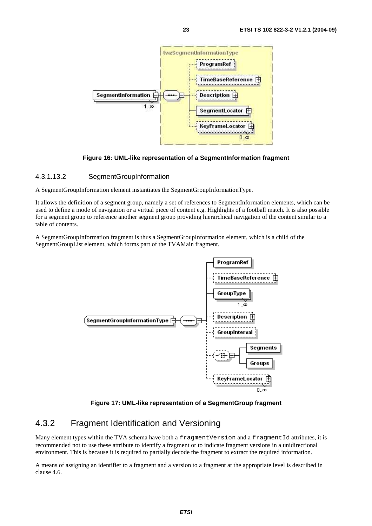

#### **Figure 16: UML-like representation of a SegmentInformation fragment**

#### 4.3.1.13.2 SegmentGroupInformation

A SegmentGroupInformation element instantiates the SegmentGroupInformationType.

It allows the definition of a segment group, namely a set of references to SegmentInformation elements, which can be used to define a mode of navigation or a virtual piece of content e.g. Highlights of a football match. It is also possible for a segment group to reference another segment group providing hierarchical navigation of the content similar to a table of contents.

A SegmentGroupInformation fragment is thus a SegmentGroupInformation element, which is a child of the SegmentGroupList element, which forms part of the TVAMain fragment.



**Figure 17: UML-like representation of a SegmentGroup fragment** 

### 4.3.2 Fragment Identification and Versioning

Many element types within the TVA schema have both a fragment Version and a fragmentId attributes, it is recommended not to use these attribute to identify a fragment or to indicate fragment versions in a unidirectional environment. This is because it is required to partially decode the fragment to extract the required information.

A means of assigning an identifier to a fragment and a version to a fragment at the appropriate level is described in clause 4.6.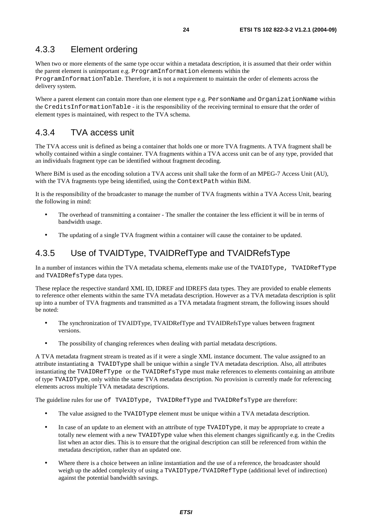### 4.3.3 Element ordering

When two or more elements of the same type occur within a metadata description, it is assumed that their order within the parent element is unimportant e.g. ProgramInformation elements within the

ProgramInformationTable. Therefore, it is not a requirement to maintain the order of elements across the delivery system.

Where a parent element can contain more than one element type e.g. PersonName and OrganizationName within the CreditsInformationTable - it is the responsibility of the receiving terminal to ensure that the order of element types is maintained, with respect to the TVA schema.

### 4.3.4 TVA access unit

The TVA access unit is defined as being a container that holds one or more TVA fragments. A TVA fragment shall be wholly contained within a single container. TVA fragments within a TVA access unit can be of any type, provided that an individuals fragment type can be identified without fragment decoding.

Where BiM is used as the encoding solution a TVA access unit shall take the form of an MPEG-7 Access Unit (AU), with the TVA fragments type being identified, using the ContextPath within BiM.

It is the responsibility of the broadcaster to manage the number of TVA fragments within a TVA Access Unit, bearing the following in mind:

- The overhead of transmitting a container The smaller the container the less efficient it will be in terms of bandwidth usage.
- The updating of a single TVA fragment within a container will cause the container to be updated.

### 4.3.5 Use of TVAIDType, TVAIDRefType and TVAIDRefsType

In a number of instances within the TVA metadata schema, elements make use of the TVAIDType, TVAIDRefType and TVAIDRefsType data types.

These replace the respective standard XML ID, IDREF and IDREFS data types. They are provided to enable elements to reference other elements within the same TVA metadata description. However as a TVA metadata description is split up into a number of TVA fragments and transmitted as a TVA metadata fragment stream, the following issues should be noted:

- The synchronization of TVAIDType, TVAIDRefType and TVAIDRefsType values between fragment versions.
- The possibility of changing references when dealing with partial metadata descriptions.

A TVA metadata fragment stream is treated as if it were a single XML instance document. The value assigned to an attribute instantiating a TVAIDType shall be unique within a single TVA metadata description. Also, all attributes instantiating the TVAIDRefType or the TVAIDRefsType must make references to elements containing an attribute of type TVAIDType, only within the same TVA metadata description. No provision is currently made for referencing elements across multiple TVA metadata descriptions.

The guideline rules for use of TVAIDType, TVAIDRefType and TVAIDRefsType are therefore:

- The value assigned to the TVAIDType element must be unique within a TVA metadata description.
- In case of an update to an element with an attribute of type TVAIDType, it may be appropriate to create a totally new element with a new TVAIDType value when this element changes significantly e.g. in the Credits list when an actor dies. This is to ensure that the original description can still be referenced from within the metadata description, rather than an updated one.
- Where there is a choice between an inline instantiation and the use of a reference, the broadcaster should weigh up the added complexity of using a TVAIDType/TVAIDRefType (additional level of indirection) against the potential bandwidth savings.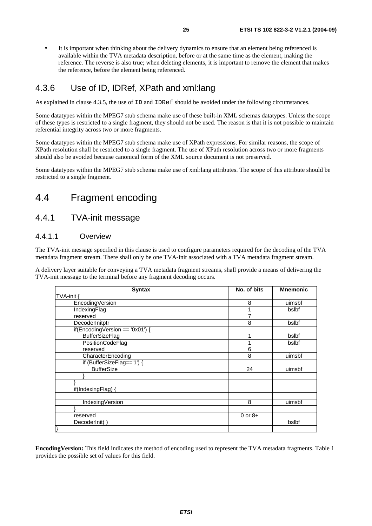It is important when thinking about the delivery dynamics to ensure that an element being referenced is available within the TVA metadata description, before or at the same time as the element, making the reference. The reverse is also true; when deleting elements, it is important to remove the element that makes the reference, before the element being referenced.

## 4.3.6 Use of ID, IDRef, XPath and xml:lang

As explained in clause 4.3.5, the use of ID and IDRef should be avoided under the following circumstances.

Some datatypes within the MPEG7 stub schema make use of these built-in XML schemas datatypes. Unless the scope of these types is restricted to a single fragment, they should not be used. The reason is that it is not possible to maintain referential integrity across two or more fragments.

Some datatypes within the MPEG7 stub schema make use of XPath expressions. For similar reasons, the scope of XPath resolution shall be restricted to a single fragment. The use of XPath resolution across two or more fragments should also be avoided because canonical form of the XML source document is not preserved.

Some datatypes within the MPEG7 stub schema make use of xml:lang attributes. The scope of this attribute should be restricted to a single fragment.

# 4.4 Fragment encoding

### 4.4.1 TVA-init message

### 4.4.1.1 Overview

The TVA-init message specified in this clause is used to configure parameters required for the decoding of the TVA metadata fragment stream. There shall only be one TVA-init associated with a TVA metadata fragment stream.

A delivery layer suitable for conveying a TVA metadata fragment streams, shall provide a means of delivering the TVA-init message to the terminal before any fragment decoding occurs.

| <b>Syntax</b>                   | No. of bits | <b>Mnemonic</b> |
|---------------------------------|-------------|-----------------|
| TVA-init                        |             |                 |
| EncodingVersion                 | 8           | uimsbf          |
| IndexingFlag                    |             | bslbf           |
| reserved                        | 7           |                 |
| DecoderInitptr                  | 8           | bslbf           |
| if(EncodingVersion == '0x01') { |             |                 |
| <b>BufferSizeFlag</b>           |             | bslbf           |
| PositionCodeFlag                |             | bslbf           |
| reserved                        | 6           |                 |
| CharacterEncoding               | 8           | uimsbf          |
| if (BufferSizeFlag=='1') {      |             |                 |
| <b>BufferSize</b>               | 24          | uimsbf          |
|                                 |             |                 |
|                                 |             |                 |
| if(IndexingFlag) {              |             |                 |
|                                 |             |                 |
| IndexingVersion                 | 8           | uimsbf          |
|                                 |             |                 |
| reserved                        | $0$ or $8+$ |                 |
| DecoderInit()                   |             | bslbf           |
| }                               |             |                 |

**EncodingVersion:** This field indicates the method of encoding used to represent the TVA metadata fragments. Table 1 provides the possible set of values for this field.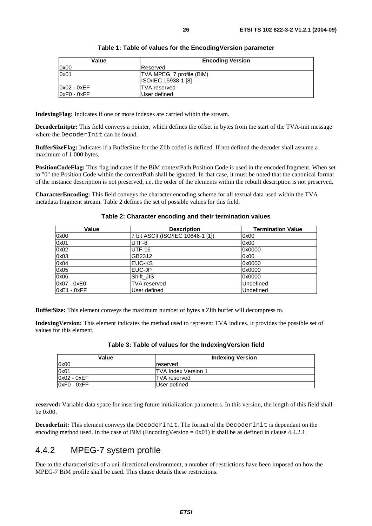| Value       | <b>Encoding Version</b>    |
|-------------|----------------------------|
| 0x00        | Reserved                   |
| 0x01        | TVA MPEG_7 profile (BiM)   |
|             | <b>ISO/IEC 15938-1 [8]</b> |
| 0x02 - 0xEF | <b>TVA</b> reserved        |
| 0xF0 - 0xFF | User defined               |

#### **Table 1: Table of values for the EncodingVersion parameter**

**IndexingFlag:** Indicates if one or more indexes are carried within the stream.

**DecoderInitptr:** This field conveys a pointer, which defines the offset in bytes from the start of the TVA-init message where the DecoderInit can be found.

**BufferSizeFlag:** Indicates if a BufferSize for the Zlib coded is defined. If not defined the decoder shall assume a maximum of 1 000 bytes.

**PositionCodeFlag:** This flag indicates if the BiM contextPath Position Code is used in the encoded fragment. When set to "0" the Position Code within the contextPath shall be ignored. In that case, it must be noted that the canonical format of the instance description is not preserved, i.e. the order of the elements within the rebuilt description is not preserved.

**CharacterEncoding:** This field conveys the character encoding scheme for all textual data used within the TVA metadata fragment stream. Table 2 defines the set of possible values for this field.

| Value         | <b>Description</b>                | <b>Termination Value</b> |
|---------------|-----------------------------------|--------------------------|
| 0x00          | 7 bit ASCII (ISO/IEC 10646-1 [1]) | 0x00                     |
| 0x01          | UTF-8                             | 0x00                     |
| 0x02          | <b>UTF-16</b>                     | 0x0000                   |
| 0x03          | GB2312                            | 0x00                     |
| 0x04          | EUC-KS                            | 0x0000                   |
| 0x05          | EUC-JP                            | 0x0000                   |
| 0x06          | Shift JIS                         | 0x0000                   |
| 0x07 - 0xE0   | TVA reserved                      | <b>Undefined</b>         |
| $0xE1 - 0xFF$ | User defined                      | Undefined                |

#### **Table 2: Character encoding and their termination values**

**BufferSize:** This element conveys the maximum number of bytes a Zlib buffer will decompress to.

**IndexingVersion:** This element indicates the method used to represent TVA indices. It provides the possible set of values for this element.

| Value         | <b>Indexing Version</b>     |
|---------------|-----------------------------|
| 0x00          | reserved                    |
| 0x01          | <b>ITVA Index Version 1</b> |
| $0x02 - 0xEF$ | ITVA reserved               |
| $0xF0 - 0xFF$ | User defined                |

#### **Table 3: Table of values for the IndexingVersion field**

**reserved:** Variable data space for inserting future initialization parameters. In this version, the length of this field shall be 0x00.

**DecoderInit:** This element conveys the DecoderInit. The format of the DecoderInit is dependant on the encoding method used. In the case of BiM (EncodingVersion =  $0x01$ ) it shall be as defined in clause 4.4.2.1.

### 4.4.2 MPEG-7 system profile

Due to the characteristics of a uni-directional environment, a number of restrictions have been imposed on how the MPEG-7 BiM profile shall be used. This clause details these restrictions.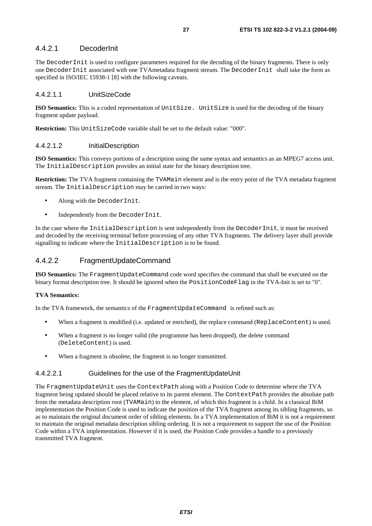### 4.4.2.1 DecoderInit

The DecoderInit is used to configure parameters required for the decoding of the binary fragments. There is only one DecoderInit associated with one TVAmetadata fragment stream. The DecoderInit shall take the form as specified in ISO/IEC 15938-1 [8] with the following caveats.

#### 4.4.2.1.1 UnitSizeCode

**ISO Semantics:** This is a coded representation of UnitSize. UnitSize is used for the decoding of the binary fragment update payload.

**Restriction:** This UnitSizeCode variable shall be set to the default value: "000".

#### 4.4.2.1.2 InitialDescription

**ISO Semantics:** This conveys portions of a description using the same syntax and semantics as an MPEG7 access unit. The InitialDescription provides an initial state for the binary description tree.

**Restriction:** The TVA fragment containing the TVAMain element and is the entry point of the TVA metadata fragment stream. The InitialDescription may be carried in two ways:

- Along with the DecoderInit.
- Independently from the DecoderInit.

In the case where the InitialDescription is sent independently from the DecoderInit, it must be received and decoded by the receiving terminal before processing of any other TVA fragments. The delivery layer shall provide signalling to indicate where the InitialDescription is to be found.

#### 4.4.2.2 FragmentUpdateCommand

**ISO Semantics:** The FragmentUpdateCommand code word specifies the command that shall be executed on the binary format description tree. It should be ignored when the PositionCodeFlag in the TVA-Init is set to "0".

#### **TVA Semantics:**

In the TVA framework, the semantics of the FragmentUpdateCommand is refined such as:

- When a fragment is modified (i.e. updated or enriched), the replace command (ReplaceContent) is used.
- When a fragment is no longer valid (the programme has been dropped), the delete command (DeleteContent) is used.
- When a fragment is obsolete, the fragment is no longer transmitted.

#### 4.4.2.2.1 Guidelines for the use of the FragmentUpdateUnit

The FragmentUpdateUnit uses the ContextPath along with a Position Code to determine where the TVA fragment being updated should be placed relative to its parent element. The ContextPath provides the absolute path from the metadata description root (TVAMain) to the element, of which this fragment is a child. In a classical BiM implementation the Position Code is used to indicate the position of the TVA fragment among its sibling fragments, so as to maintain the original document order of sibling elements. In a TVA implementation of BiM it is not a requirement to maintain the original metadata description sibling ordering. It is not a requirement to support the use of the Position Code within a TVA implementation. However if it is used, the Position Code provides a handle to a previously transmitted TVA fragment.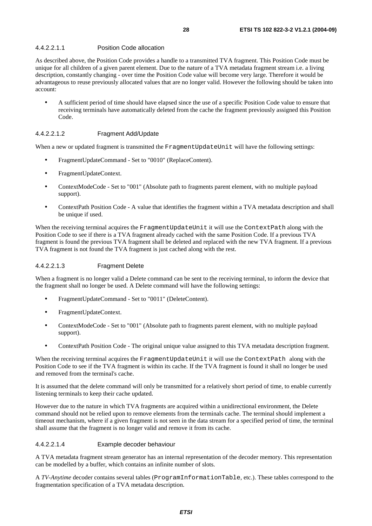#### 4.4.2.2.1.1 Position Code allocation

As described above, the Position Code provides a handle to a transmitted TVA fragment. This Position Code must be unique for all children of a given parent element. Due to the nature of a TVA metadata fragment stream i.e. a living description, constantly changing - over time the Position Code value will become very large. Therefore it would be advantageous to reuse previously allocated values that are no longer valid. However the following should be taken into account:

• A sufficient period of time should have elapsed since the use of a specific Position Code value to ensure that receiving terminals have automatically deleted from the cache the fragment previously assigned this Position Code.

#### 4.4.2.2.1.2 Fragment Add/Update

When a new or updated fragment is transmitted the FragmentUpdateUnit will have the following settings:

- FragmentUpdateCommand Set to "0010" (ReplaceContent).
- FragmentUpdateContext.
- ContextModeCode Set to "001" (Absolute path to fragments parent element, with no multiple payload support).
- ContextPath Position Code A value that identifies the fragment within a TVA metadata description and shall be unique if used.

When the receiving terminal acquires the FragmentUpdateUnit it will use the ContextPath along with the Position Code to see if there is a TVA fragment already cached with the same Position Code. If a previous TVA fragment is found the previous TVA fragment shall be deleted and replaced with the new TVA fragment. If a previous TVA fragment is not found the TVA fragment is just cached along with the rest.

#### 4.4.2.2.1.3 Fragment Delete

When a fragment is no longer valid a Delete command can be sent to the receiving terminal, to inform the device that the fragment shall no longer be used. A Delete command will have the following settings:

- FragmentUpdateCommand Set to "0011" (DeleteContent).
- FragmentUpdateContext.
- ContextModeCode Set to "001" (Absolute path to fragments parent element, with no multiple payload support).
- ContextPath Position Code The original unique value assigned to this TVA metadata description fragment.

When the receiving terminal acquires the FragmentUpdateUnit it will use the ContextPath along with the Position Code to see if the TVA fragment is within its cache. If the TVA fragment is found it shall no longer be used and removed from the terminal's cache.

It is assumed that the delete command will only be transmitted for a relatively short period of time, to enable currently listening terminals to keep their cache updated.

However due to the nature in which TVA fragments are acquired within a unidirectional environment, the Delete command should not be relied upon to remove elements from the terminals cache. The terminal should implement a timeout mechanism, where if a given fragment is not seen in the data stream for a specified period of time, the terminal shall assume that the fragment is no longer valid and remove it from its cache.

#### 4.4.2.2.1.4 Example decoder behaviour

A TVA metadata fragment stream generator has an internal representation of the decoder memory. This representation can be modelled by a buffer, which contains an infinite number of slots.

A *TV-Anytime* decoder contains several tables (ProgramInformationTable, etc.). These tables correspond to the fragmentation specification of a TVA metadata description.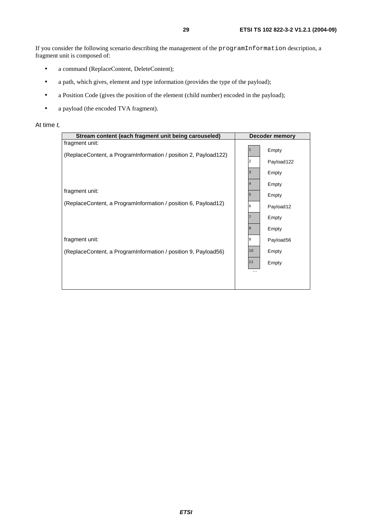- a command (ReplaceContent, DeleteContent);
- a path, which gives, element and type information (provides the type of the payload);
- a Position Code (gives the position of the element (child number) encoded in the payload);
- a payload (the encoded TVA fragment).

#### At time t,

| Stream content (each fragment unit being carouseled)                              | <b>Decoder memory</b> |
|-----------------------------------------------------------------------------------|-----------------------|
| fragment unit:<br>(ReplaceContent, a ProgramInformation / position 2, Payload122) | Empty                 |
|                                                                                   | 2<br>Payload122       |
|                                                                                   | 3<br>Empty            |
| fragment unit:                                                                    | Empty                 |
|                                                                                   | 5<br>Empty            |
| (ReplaceContent, a ProgramInformation / position 6, Payload12)                    | 6<br>Payload12        |
|                                                                                   | Empty                 |
|                                                                                   | 8<br>Empty            |
| fragment unit:                                                                    | 9<br>Payload56        |
| (ReplaceContent, a ProgramInformation / position 9, Payload56)                    | 10<br>Empty           |
|                                                                                   | 11<br>Empty           |
|                                                                                   | $\cdots$              |
|                                                                                   |                       |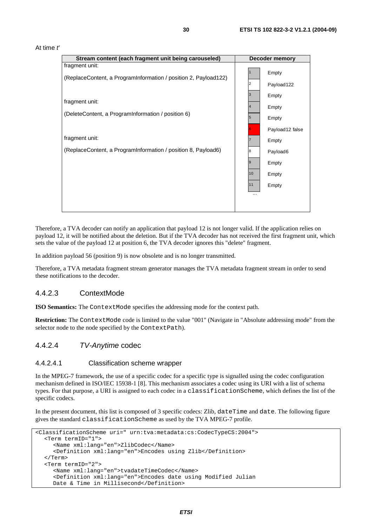![](_page_29_Figure_1.jpeg)

![](_page_29_Figure_2.jpeg)

Therefore, a TVA decoder can notify an application that payload 12 is not longer valid. If the application relies on payload 12, it will be notified about the deletion. But if the TVA decoder has not received the first fragment unit, which sets the value of the payload 12 at position 6, the TVA decoder ignores this "delete" fragment.

In addition payload 56 (position 9) is now obsolete and is no longer transmitted.

Therefore, a TVA metadata fragment stream generator manages the TVA metadata fragment stream in order to send these notifications to the decoder.

#### 4.4.2.3 ContextMode

**ISO Semantics:** The ContextMode specifies the addressing mode for the context path.

**Restriction:** The ContextMode code is limited to the value "001" (Navigate in "Absolute addressing mode" from the selector node to the node specified by the ContextPath).

#### 4.4.2.4 TV-Anytime codec

#### 4.4.2.4.1 Classification scheme wrapper

In the MPEG-7 framework, the use of a specific codec for a specific type is signalled using the codec configuration mechanism defined in ISO/IEC 15938-1 [8]. This mechanism associates a codec using its URI with a list of schema types. For that purpose, a URI is assigned to each codec in a classificationScheme, which defines the list of the specific codecs.

In the present document, this list is composed of 3 specific codecs: Zlib, dateTime and date. The following figure gives the standard classificationScheme as used by the TVA MPEG-7 profile.

```
<ClassificationScheme uri=" urn:tva:metadata:cs:CodecTypeCS:2004"> 
   <Term termID="1"> 
      <Name xml:lang="en">ZlibCodec</Name> 
      <Definition xml:lang="en">Encodes using Zlib</Definition> 
   </Term> 
   <Term termID="2"> 
      <Name xml:lang="en">tvadateTimeCodec</Name> 
      <Definition xml:lang="en">Encodes date using Modified Julian 
      Date & Time in Millisecond</Definition>
```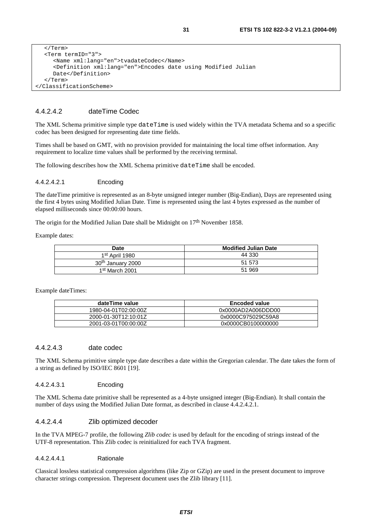```
 </Term> 
   <Term termID="3"> 
      <Name xml:lang="en">tvadateCodec</Name> 
      <Definition xml:lang="en">Encodes date using Modified Julian 
      Date</Definition> 
   </Term> 
</ClassificationScheme>
```
#### 4.4.2.4.2 dateTime Codec

The XML Schema primitive simple type dateTime is used widely within the TVA metadata Schema and so a specific codec has been designed for representing date time fields.

Times shall be based on GMT, with no provision provided for maintaining the local time offset information. Any requirement to localize time values shall be performed by the receiving terminal.

The following describes how the XML Schema primitive dateTime shall be encoded.

#### 4.4.2.4.2.1 Encoding

The dateTime primitive is represented as an 8-byte unsigned integer number (Big-Endian), Days are represented using the first 4 bytes using Modified Julian Date. Time is represented using the last 4 bytes expressed as the number of elapsed milliseconds since 00:00:00 hours.

The origin for the Modified Julian Date shall be Midnight on 17<sup>th</sup> November 1858.

Example dates:

| <b>Date</b>                   | <b>Modified Julian Date</b> |
|-------------------------------|-----------------------------|
| 1st April 1980                | 44 330                      |
| 30 <sup>th</sup> January 2000 | 51 573                      |
| 1 <sup>st</sup> March 2001    | 51 969                      |

Example dateTimes:

| dateTime value       | <b>Encoded value</b> |
|----------------------|----------------------|
| 1980-04-01T02:00:00Z | 0x0000AD2A006DDD00   |
| 2000-01-30T12:10:01Z | 0x0000C975029C59A8   |
| 2001-03-01T00:00:00Z | 0x0000CB0100000000   |

#### 4.4.2.4.3 date codec

The XML Schema primitive simple type date describes a date within the Gregorian calendar. The date takes the form of a string as defined by ISO/IEC 8601 [19].

#### 4.4.2.4.3.1 Encoding

The XML Schema date primitive shall be represented as a 4-byte unsigned integer (Big-Endian). It shall contain the number of days using the Modified Julian Date format, as described in clause 4.4.2.4.2.1.

#### 4.4.2.4.4 Zlib optimized decoder

In the TVA MPEG-7 profile, the following *Zlib codec* is used by default for the encoding of strings instead of the UTF-8 representation. This Zlib codec is reinitialized for each TVA fragment.

#### 4.4.2.4.4.1 Rationale

Classical lossless statistical compression algorithms (like Zip or GZip) are used in the present document to improve character strings compression. Thepresent document uses the Zlib library [11].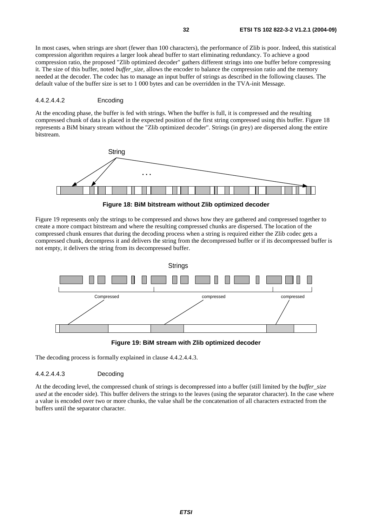In most cases, when strings are short (fewer than 100 characters), the performance of Zlib is poor. Indeed, this statistical compression algorithm requires a larger look ahead buffer to start eliminating redundancy. To achieve a good compression ratio, the proposed "Zlib optimized decoder" gathers different strings into one buffer before compressing it. The size of this buffer, noted *buffer* size, allows the encoder to balance the compression ratio and the memory needed at the decoder. The codec has to manage an input buffer of strings as described in the following clauses. The default value of the buffer size is set to 1 000 bytes and can be overridden in the TVA-init Message.

#### 4.4.2.4.4.2 Encoding

At the encoding phase, the buffer is fed with strings. When the buffer is full, it is compressed and the resulting compressed chunk of data is placed in the expected position of the first string compressed using this buffer. Figure 18 represents a BiM binary stream without the "Zlib optimized decoder". Strings (in grey) are dispersed along the entire bitstream.

![](_page_31_Figure_4.jpeg)

**Figure 18: BiM bitstream without Zlib optimized decoder** 

Figure 19 represents only the strings to be compressed and shows how they are gathered and compressed together to create a more compact bitstream and where the resulting compressed chunks are dispersed. The location of the compressed chunk ensures that during the decoding process when a string is required either the Zlib codec gets a compressed chunk, decompress it and delivers the string from the decompressed buffer or if its decompressed buffer is not empty, it delivers the string from its decompressed buffer.

![](_page_31_Figure_7.jpeg)

**Figure 19: BiM stream with Zlib optimized decoder** 

The decoding process is formally explained in clause 4.4.2.4.4.3.

#### 4.4.2.4.4.3 Decoding

At the decoding level, the compressed chunk of strings is decompressed into a buffer (still limited by the *buffer*\_*size used* at the encoder side). This buffer delivers the strings to the leaves (using the separator character). In the case where a value is encoded over two or more chunks, the value shall be the concatenation of all characters extracted from the buffers until the separator character.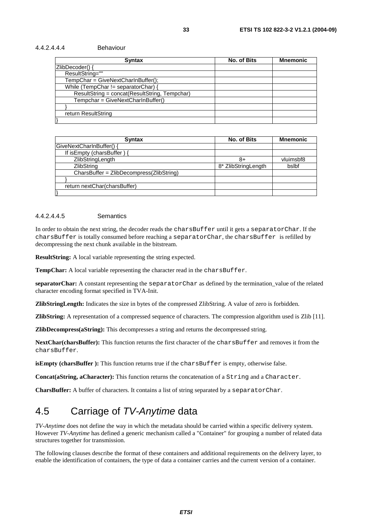#### 4.4.2.4.4.4 Behaviour

| <b>Syntax</b>                                 | <b>No. of Bits</b> | <b>Mnemonic</b> |  |
|-----------------------------------------------|--------------------|-----------------|--|
| ZlibDecoder() {                               |                    |                 |  |
| ResultString=""                               |                    |                 |  |
| $TempChar = GivenNextCharInBuffer();$         |                    |                 |  |
| While (TempChar != separatorChar) {           |                    |                 |  |
| ResultString = concat(ResultString, Tempchar) |                    |                 |  |
| Tempchar = GiveNextCharInBuffer()             |                    |                 |  |
|                                               |                    |                 |  |
| return ResultString                           |                    |                 |  |
|                                               |                    |                 |  |

| <b>Syntax</b>                            | No. of Bits         | <b>Mnemonic</b> |
|------------------------------------------|---------------------|-----------------|
| GiveNextCharInBuffer() {                 |                     |                 |
| If is Empty (chars Buffer) {             |                     |                 |
| ZlibStringLength                         | 8+                  | vluimsbf8       |
| <b>ZlibString</b>                        | 8* ZlibStringLength | bslbf           |
| CharsBuffer = ZlibDecompress(ZlibString) |                     |                 |
|                                          |                     |                 |
| return nextChar(charsBuffer)             |                     |                 |
|                                          |                     |                 |

#### 4.4.2.4.4.5 Semantics

In order to obtain the next string, the decoder reads the charsBuffer until it gets a separatorChar. If the charsBuffer is totally consumed before reaching a separatorChar, the charsBuffer is refilled by decompressing the next chunk available in the bitstream.

**ResultString:** A local variable representing the string expected.

**TempChar:** A local variable representing the character read in the charsBuffer.

**separatorChar:** A constant representing the separatorChar as defined by the termination\_value of the related character encoding format specified in TVA-Init.

**ZlibStringLength:** Indicates the size in bytes of the compressed ZlibString. A value of zero is forbidden.

**ZlibString:** A representation of a compressed sequence of characters. The compression algorithm used is Zlib [11].

**ZlibDecompress(aString):** This decompresses a string and returns the decompressed string.

NextChar(charsBuffer): This function returns the first character of the charsBuffer and removes it from the charsBuffer.

**isEmpty (charsBuffer ):** This function returns true if the charsBuffer is empty, otherwise false.

**Concat(aString, aCharacter):** This function returns the concatenation of a String and a Character.

**CharsBuffer:** A buffer of characters. It contains a list of string separated by a separatorChar.

# 4.5 Carriage of TV-Anytime data

*TV-Anytime* does not define the way in which the metadata should be carried within a specific delivery system. However *TV-Anytime* has defined a generic mechanism called a "Container" for grouping a number of related data structures together for transmission.

The following clauses describe the format of these containers and additional requirements on the delivery layer, to enable the identification of containers, the type of data a container carries and the current version of a container.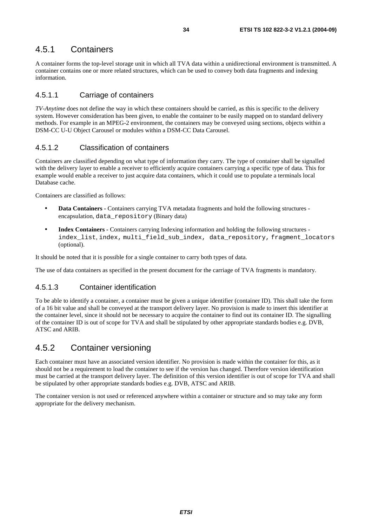### 4.5.1 Containers

A container forms the top-level storage unit in which all TVA data within a unidirectional environment is transmitted. A container contains one or more related structures, which can be used to convey both data fragments and indexing information.

### 4.5.1.1 Carriage of containers

*TV-Anytime* does not define the way in which these containers should be carried, as this is specific to the delivery system. However consideration has been given, to enable the container to be easily mapped on to standard delivery methods. For example in an MPEG-2 environment, the containers may be conveyed using sections, objects within a DSM-CC U-U Object Carousel or modules within a DSM-CC Data Carousel.

### 4.5.1.2 Classification of containers

Containers are classified depending on what type of information they carry. The type of container shall be signalled with the delivery layer to enable a receiver to efficiently acquire containers carrying a specific type of data. This for example would enable a receiver to just acquire data containers, which it could use to populate a terminals local Database cache.

Containers are classified as follows:

- **Data Containers** Containers carrying TVA metadata fragments and hold the following structures encapsulation, data repository (Binary data)
- **Index Containers** Containers carrying Indexing information and holding the following structures index\_list, index, multi\_field\_sub\_index, data\_repository, fragment\_locators (optional).

It should be noted that it is possible for a single container to carry both types of data.

The use of data containers as specified in the present document for the carriage of TVA fragments is mandatory.

### 4.5.1.3 Container identification

To be able to identify a container, a container must be given a unique identifier (container ID). This shall take the form of a 16 bit value and shall be conveyed at the transport delivery layer. No provision is made to insert this identifier at the container level, since it should not be necessary to acquire the container to find out its container ID. The signalling of the container ID is out of scope for TVA and shall be stipulated by other appropriate standards bodies e.g. DVB, ATSC and ARIB.

### 4.5.2 Container versioning

Each container must have an associated version identifier. No provision is made within the container for this, as it should not be a requirement to load the container to see if the version has changed. Therefore version identification must be carried at the transport delivery layer. The definition of this version identifier is out of scope for TVA and shall be stipulated by other appropriate standards bodies e.g. DVB, ATSC and ARIB.

The container version is not used or referenced anywhere within a container or structure and so may take any form appropriate for the delivery mechanism.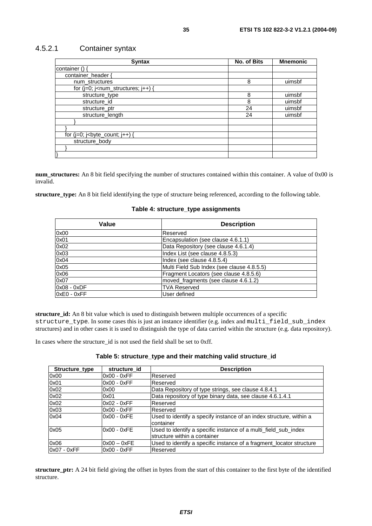### 4.5.2.1 Container syntax

| <b>Syntax</b>                                                                                                                                                | No. of Bits | <b>Mnemonic</b> |
|--------------------------------------------------------------------------------------------------------------------------------------------------------------|-------------|-----------------|
| container () {                                                                                                                                               |             |                 |
| container header {                                                                                                                                           |             |                 |
| num structures                                                                                                                                               | 8           | uimsbf          |
| for $(i=0; i1 - num_structures; i++)$ {                                                                                                                      |             |                 |
| structure_type                                                                                                                                               | 8           | uimsbf          |
| structure_id                                                                                                                                                 | 8           | uimsbf          |
| structure_ptr                                                                                                                                                | 24          | uimsbf          |
| structure_length                                                                                                                                             | 24          | uimsbf          |
|                                                                                                                                                              |             |                 |
|                                                                                                                                                              |             |                 |
| for $(j=0; j0)$ is $j0$ is $j0$ is $j0$ is $j0$ if $j0$ is a set of $j0$ is a set of $j0$ is a set of $j0$ is a set of $j0$ is a set of $j0$ is a set of $j$ |             |                 |
| structure body                                                                                                                                               |             |                 |
|                                                                                                                                                              |             |                 |
|                                                                                                                                                              |             |                 |

**num\_structures:** An 8 bit field specifying the number of structures contained within this container. A value of 0x00 is invalid.

**structure\_type:** An 8 bit field identifying the type of structure being referenced, according to the following table.

#### **Table 4: structure\_type assignments**

| Value         | <b>Description</b>                         |
|---------------|--------------------------------------------|
| 0x00          | Reserved                                   |
| 0x01          | Encapsulation (see clause 4.6.1.1)         |
| 0x02          | Data Repository (see clause 4.6.1.4)       |
| 0x03          | Index List (see clause 4.8.5.3)            |
| 0x04          | Index (see clause 4.8.5.4)                 |
| 0x05          | Multi Field Sub Index (see clause 4.8.5.5) |
| 0x06          | Fragment Locators (see clause 4.8.5.6)     |
| 0x07          | moved_fragments (see clause 4.6.1.2)       |
| $0x08 - 0xDF$ | <b>TVA Reserved</b>                        |
| $0xE0 - 0xFF$ | User defined                               |

**structure\_id:** An 8 bit value which is used to distinguish between multiple occurrences of a specific structure\_type. In some cases this is just an instance identifier (e.g. index and multi\_field\_sub\_index structures) and in other cases it is used to distinguish the type of data carried within the structure (e.g. data repository).

In cases where the structure\_id is not used the field shall be set to 0xff.

| Structure_type | structure id  | <b>Description</b>                                                                              |
|----------------|---------------|-------------------------------------------------------------------------------------------------|
| 0x00           | $0x00 - 0xFF$ | Reserved                                                                                        |
| 0x01           | $0x00 - 0xFF$ | Reserved                                                                                        |
| 0x02           | 0x00          | Data Repository of type strings, see clause 4.8.4.1                                             |
| 0x02           | 0x01          | Data repository of type binary data, see clause 4.6.1.4.1                                       |
| 0x02           | $0x02 - 0xFF$ | Reserved                                                                                        |
| 0x03           | $0x00 - 0xFF$ | Reserved                                                                                        |
| 0x04           | $0x00 - 0xFE$ | Used to identify a specify instance of an index structure, within a<br>container                |
| 0x05           | $0x00 - 0xFE$ | Used to identify a specific instance of a multi_field_sub_index<br>structure within a container |
| 0x06           | $0x00 - 0xFE$ | Used to identify a specific instance of a fragment_locator structure                            |
| 0x07 - 0xFF    | $0x00 - 0xFF$ | Reserved                                                                                        |

**structure** ptr: A 24 bit field giving the offset in bytes from the start of this container to the first byte of the identified structure.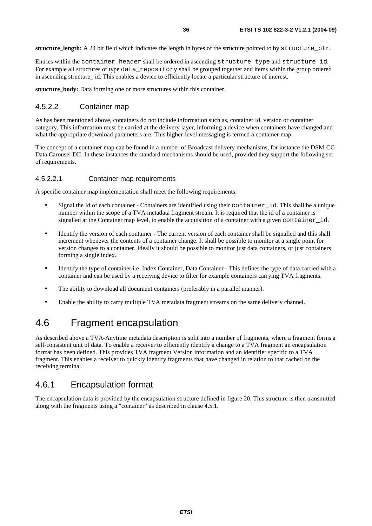**structure\_length:** A 24 bit field which indicates the length in bytes of the structure pointed to by structure\_ptr.

Entries within the container\_header shall be ordered in ascending structure\_type and structure\_id. For example all structures of type data\_repository shall be grouped together and items within the group ordered in ascending structure id. This enables a device to efficiently locate a particular structure of interest.

**structure** body: Data forming one or more structures within this container.

#### 4.5.2.2 Container map

As has been mentioned above, containers do not include information such as, container Id, version or container category. This information must be carried at the delivery layer, informing a device when containers have changed and what the appropriate download parameters are. This higher-level messaging is termed a container map.

The concept of a container map can be found in a number of Broadcast delivery mechanisms, for instance the DSM-CC Data Carousel DII. In these instances the standard mechanisms should be used, provided they support the following set of requirements.

#### 4.5.2.2.1 Container map requirements

A specific container map implementation shall meet the following requirements:

- Signal the Id of each container Containers are identified using their container\_id. This shall be a unique number within the scope of a TVA metadata fragment stream. It is required that the id of a container is signalled at the Container map level, to enable the acquisition of a container with a given container\_id.
- Identify the version of each container The current version of each container shall be signalled and this shall increment whenever the contents of a container change. It shall be possible to monitor at a single point for version changes to a container. Ideally it should be possible to monitor just data containers, or just containers forming a single index.
- Identify the type of container i.e. Index Container, Data Container This defines the type of data carried with a container and can be used by a receiving device to filter for example containers carrying TVA fragments.
- The ability to download all document containers (preferably in a parallel manner).
- Enable the ability to carry multiple TVA metadata fragment streams on the same delivery channel.

# 4.6 Fragment encapsulation

As described above a TVA-Anytime metadata description is split into a number of fragments, where a fragment forms a self-consistent unit of data. To enable a receiver to efficiently identify a change to a TVA fragment an encapsulation format has been defined. This provides TVA fragment Version information and an identifier specific to a TVA fragment. This enables a receiver to quickly identify fragments that have changed in relation to that cached on the receiving terminal.

### 4.6.1 Encapsulation format

The encapsulation data is provided by the encapsulation structure defined in figure 20. This structure is then transmitted along with the fragments using a "container" as described in clause 4.5.1.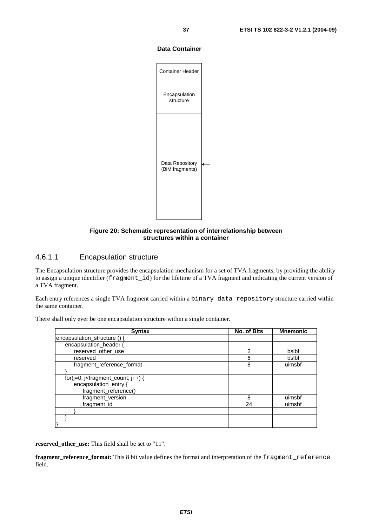#### **Data Container**

![](_page_36_Figure_2.jpeg)

#### **Figure 20: Schematic representation of interrelationship between structures within a container**

### 4.6.1.1 Encapsulation structure

The Encapsulation structure provides the encapsulation mechanism for a set of TVA fragments, by providing the ability to assign a unique identifier (fragment\_id) for the lifetime of a TVA fragment and indicating the current version of a TVA fragment.

Each entry references a single TVA fragment carried within a binary\_data\_repository structure carried within the same container.

| <b>Syntax</b>                               | No. of Bits    | <b>Mnemonic</b> |
|---------------------------------------------|----------------|-----------------|
| encapsulation structure () {                |                |                 |
| encapsulation_header {                      |                |                 |
| reserved other use                          | $\mathfrak{p}$ | bslbf           |
| reserved                                    | 6              | bslbf           |
| fragment_reference_format                   | 8              | uimsbf          |
|                                             |                |                 |
| for( $j=0$ ; $j$ -fragment_count; $j++$ ) { |                |                 |
| encapsulation_entry {                       |                |                 |
| fragment_reference()                        |                |                 |
| fragment_version                            | 8              | uimsbf          |
| fragment_id                                 | 24             | uimsbf          |
|                                             |                |                 |
|                                             |                |                 |
|                                             |                |                 |

There shall only ever be one encapsulation structure within a single container.

**reserved\_other\_use:** This field shall be set to "11".

**fragment\_reference\_format:** This 8 bit value defines the format and interpretation of the fragment\_reference field.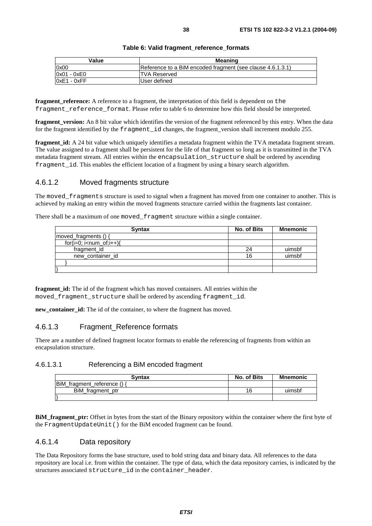| Value         | <b>Meaning</b>                                             |
|---------------|------------------------------------------------------------|
| 0x00          | Reference to a BiM encoded fragment (see clause 4.6.1.3.1) |
| $0x01 - 0xE0$ | <b>ITVA Reserved</b>                                       |
| $0xE1 - 0xFF$ | User defined                                               |

#### **Table 6: Valid fragment\_reference\_formats**

**fragment** reference: A reference to a fragment, the interpretation of this field is dependent on the fragment reference format. Please refer to table 6 to determine how this field should be interpreted.

**fragment** version: An 8 bit value which identifies the version of the fragment referenced by this entry. When the data for the fragment identified by the fragment id changes, the fragment version shall increment modulo 255.

**fragment id:** A 24 bit value which uniquely identifies a metadata fragment within the TVA metadata fragment stream. The value assigned to a fragment shall be persistent for the life of that fragment so long as it is transmitted in the TVA metadata fragment stream. All entries within the encapsulation\_structure shall be ordered by ascending fragment id. This enables the efficient location of a fragment by using a binary search algorithm.

#### 4.6.1.2 Moved fragments structure

The moved fragments structure is used to signal when a fragment has moved from one container to another. This is achieved by making an entry within the moved fragments structure carried within the fragments last container.

There shall be a maximum of one moved\_fragment structure within a single container.

| <b>Syntax</b>        | No. of Bits | <b>Mnemonic</b> |
|----------------------|-------------|-----------------|
| moved_fragments () { |             |                 |
| $for(i=0; i$         |             |                 |
| fragment_id          | 24          | uimsbf          |
| new container id     | 16          | uimsbf          |
|                      |             |                 |
|                      |             |                 |

**fragment id:** The id of the fragment which has moved containers. All entries within the moved fragment structure shall be ordered by ascending fragment id.

**new\_container\_id:** The id of the container, to where the fragment has moved.

### 4.6.1.3 Fragment\_Reference formats

There are a number of defined fragment locator formats to enable the referencing of fragments from within an encapsulation structure.

#### 4.6.1.3.1 Referencing a BiM encoded fragment

| Svntax                    | No. of Bits | <b>Mnemonic</b> |
|---------------------------|-------------|-----------------|
| BiM_fragment_reference () |             |                 |
| BiM_fragment_ptr          | 16          | uimsbf          |
|                           |             |                 |

**BiM\_fragment\_ptr:** Offset in bytes from the start of the Binary repository within the container where the first byte of the FragmentUpdateUnit() for the BiM encoded fragment can be found.

### 4.6.1.4 Data repository

The Data Repository forms the base structure, used to hold string data and binary data. All references to the data repository are local i.e. from within the container. The type of data, which the data repository carries, is indicated by the structures associated structure id in the container header.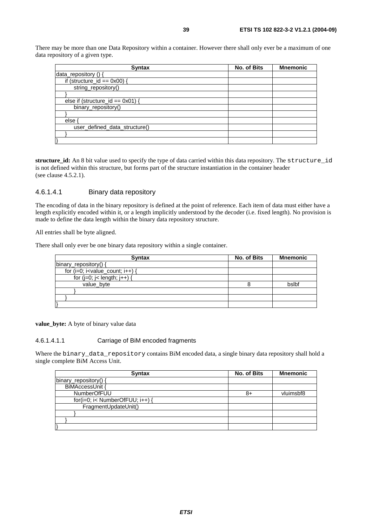There may be more than one Data Repository within a container. However there shall only ever be a maximum of one data repository of a given type.

| <b>Syntax</b>                       | No. of Bits | <b>Mnemonic</b> |
|-------------------------------------|-------------|-----------------|
| data_repository () {                |             |                 |
| if (structure_ $id == 0x00$ ) {     |             |                 |
| string_repository()                 |             |                 |
|                                     |             |                 |
| else if (structure_id == $0x01$ ) { |             |                 |
| binary_repository()                 |             |                 |
|                                     |             |                 |
| else                                |             |                 |
| user_defined_data_structure()       |             |                 |
|                                     |             |                 |
|                                     |             |                 |

**structure\_id:** An 8 bit value used to specify the type of data carried within this data repository. The structure\_id is not defined within this structure, but forms part of the structure instantiation in the container header (see clause 4.5.2.1).

#### 4.6.1.4.1 Binary data repository

The encoding of data in the binary repository is defined at the point of reference. Each item of data must either have a length explicitly encoded within it, or a length implicitly understood by the decoder (i.e. fixed length). No provision is made to define the data length within the binary data repository structure.

All entries shall be byte aligned.

There shall only ever be one binary data repository within a single container.

| <b>Syntax</b>                         | No. of Bits | <b>Mnemonic</b> |
|---------------------------------------|-------------|-----------------|
| binary_repository() {                 |             |                 |
| for $(i=0; i<$ value_count; $i++$ ) { |             |                 |
| for $(i=0; j<$ length; $j++$ ) {      |             |                 |
| value byte                            |             | bslbf           |
|                                       |             |                 |
|                                       |             |                 |
|                                       |             |                 |

**value\_byte:** A byte of binary value data

#### 4.6.1.4.1.1 Carriage of BiM encoded fragments

Where the binary data repository contains BiM encoded data, a single binary data repository shall hold a single complete BiM Access Unit.

| <b>Syntax</b>                   | No. of Bits | <b>Mnemonic</b> |
|---------------------------------|-------------|-----------------|
| binary_repository() {           |             |                 |
| BiMAccessUnit {                 |             |                 |
| <b>NumberOfFUU</b>              | 8+          | vluimsbf8       |
| for(i=0; i< NumberOfFUU; i++) { |             |                 |
| FragmentUpdateUnit()            |             |                 |
|                                 |             |                 |
|                                 |             |                 |
|                                 |             |                 |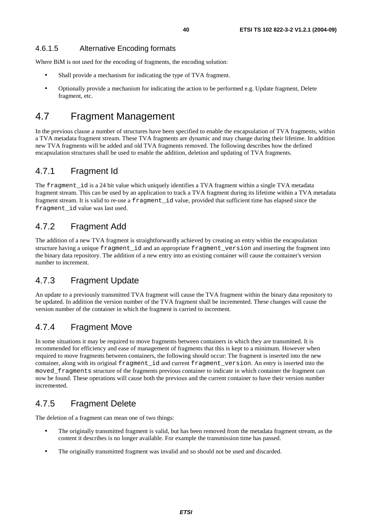### 4.6.1.5 Alternative Encoding formats

Where BiM is not used for the encoding of fragments, the encoding solution:

- Shall provide a mechanism for indicating the type of TVA fragment.
- Optionally provide a mechanism for indicating the action to be performed e.g. Update fragment, Delete fragment, etc.

# 4.7 Fragment Management

In the previous clause a number of structures have been specified to enable the encapsulation of TVA fragments, within a TVA metadata fragment stream. These TVA fragments are dynamic and may change during their lifetime. In addition new TVA fragments will be added and old TVA fragments removed. The following describes how the defined encapsulation structures shall be used to enable the addition, deletion and updating of TVA fragments.

### 4.7.1 Fragment Id

The fragment\_id is a 24 bit value which uniquely identifies a TVA fragment within a single TVA metadata fragment stream. This can be used by an application to track a TVA fragment during its lifetime within a TVA metadata fragment stream. It is valid to re-use a fragment\_id value, provided that sufficient time has elapsed since the fragment\_id value was last used.

### 4.7.2 Fragment Add

The addition of a new TVA fragment is straightforwardly achieved by creating an entry within the encapsulation structure having a unique fragment\_id and an appropriate fragment\_version and inserting the fragment into the binary data repository. The addition of a new entry into an existing container will cause the container's version number to increment.

## 4.7.3 Fragment Update

An update to a previously transmitted TVA fragment will cause the TVA fragment within the binary data repository to be updated. In addition the version number of the TVA fragment shall be incremented. These changes will cause the version number of the container in which the fragment is carried to increment.

### 4.7.4 Fragment Move

In some situations it may be required to move fragments between containers in which they are transmitted. It is recommended for efficiency and ease of management of fragments that this is kept to a minimum. However when required to move fragments between containers, the following should occur: The fragment is inserted into the new container, along with its original fragment\_id and current fragment\_version. An entry is inserted into the moved fragments structure of the fragments previous container to indicate in which container the fragment can now be found. These operations will cause both the previous and the current container to have their version number incremented.

### 4.7.5 Fragment Delete

The deletion of a fragment can mean one of two things:

- The originally transmitted fragment is valid, but has been removed from the metadata fragment stream, as the content it describes is no longer available. For example the transmission time has passed.
- The originally transmitted fragment was invalid and so should not be used and discarded.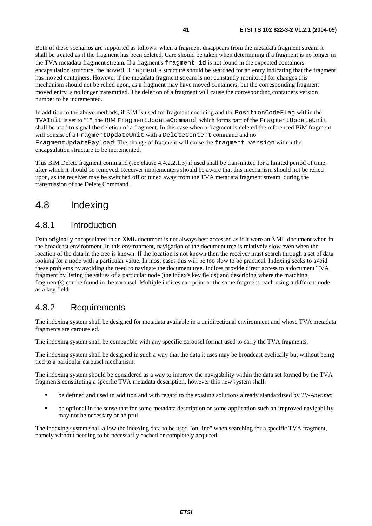Both of these scenarios are supported as follows: when a fragment disappears from the metadata fragment stream it shall be treated as if the fragment has been deleted. Care should be taken when determining if a fragment is no longer in the TVA metadata fragment stream. If a fragment's fragment\_id is not found in the expected containers encapsulation structure, the moved\_fragments structure should be searched for an entry indicating that the fragment has moved containers. However if the metadata fragment stream is not constantly monitored for changes this mechanism should not be relied upon, as a fragment may have moved containers, but the corresponding fragment moved entry is no longer transmitted. The deletion of a fragment will cause the corresponding containers version number to be incremented.

In addition to the above methods, if BiM is used for fragment encoding and the PositionCodeFlag within the TVAInit is set to "1", the BiM FragmentUpdateCommand, which forms part of the FragmentUpdateUnit shall be used to signal the deletion of a fragment. In this case when a fragment is deleted the referenced BiM fragment will consist of a FragmentUpdateUnit with a DeleteContent command and no FragmentUpdatePayload. The change of fragment will cause the fragment\_version within the encapsulation structure to be incremented.

This BiM Delete fragment command (see clause 4.4.2.2.1.3) if used shall be transmitted for a limited period of time, after which it should be removed. Receiver implementers should be aware that this mechanism should not be relied upon, as the receiver may be switched off or tuned away from the TVA metadata fragment stream, during the transmission of the Delete Command.

# 4.8 Indexing

### 4.8.1 Introduction

Data originally encapsulated in an XML document is not always best accessed as if it were an XML document when in the broadcast environment. In this environment, navigation of the document tree is relatively slow even when the location of the data in the tree is known. If the location is not known then the receiver must search through a set of data looking for a node with a particular value. In most cases this will be too slow to be practical. Indexing seeks to avoid these problems by avoiding the need to navigate the document tree. Indices provide direct access to a document TVA fragment by listing the values of a particular node (the index's key fields) and describing where the matching fragment(s) can be found in the carousel. Multiple indices can point to the same fragment, each using a different node as a key field.

### 4.8.2 Requirements

The indexing system shall be designed for metadata available in a unidirectional environment and whose TVA metadata fragments are carouseled.

The indexing system shall be compatible with any specific carousel format used to carry the TVA fragments.

The indexing system shall be designed in such a way that the data it uses may be broadcast cyclically but without being tied to a particular carousel mechanism.

The indexing system should be considered as a way to improve the navigability within the data set formed by the TVA fragments constituting a specific TVA metadata description, however this new system shall:

- be defined and used in addition and with regard to the existing solutions already standardized by *TV-Anytime*;
- be optional in the sense that for some metadata description or some application such an improved navigability may not be necessary or helpful.

The indexing system shall allow the indexing data to be used "on-line" when searching for a specific TVA fragment, namely without needing to be necessarily cached or completely acquired.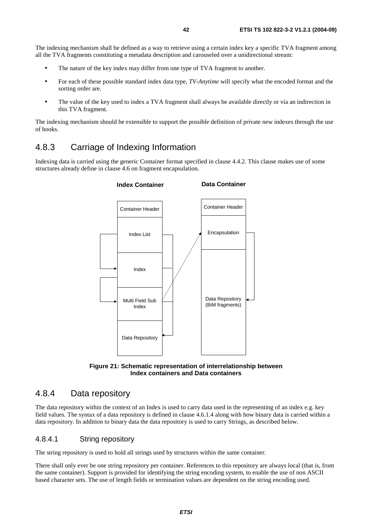The indexing mechanism shall be defined as a way to retrieve using a certain index key a specific TVA fragment among all the TVA fragments constituting a metadata description and carouseled over a unidirectional stream:

- The nature of the key index may differ from one type of TVA fragment to another.
- For each of these possible standard index data type, *TV-Anytime* will specify what the encoded format and the sorting order are.
- The value of the key used to index a TVA fragment shall always be available directly or via an indirection in this TVA fragment.

The indexing mechanism should be extensible to support the possible definition of private new indexes through the use of hooks.

# 4.8.3 Carriage of Indexing Information

Indexing data is carried using the generic Container format specified in clause 4.4.2. This clause makes use of some structures already define in clause 4.6 on fragment encapsulation.

![](_page_41_Figure_8.jpeg)

![](_page_41_Figure_9.jpeg)

# 4.8.4 Data repository

The data repository within the context of an Index is used to carry data used in the representing of an index e.g. key field values. The syntax of a data repository is defined in clause 4.6.1.4 along with how binary data is carried within a data repository. In addition to binary data the data repository is used to carry Strings, as described below.

### 4.8.4.1 String repository

The string repository is used to hold all strings used by structures within the same container.

There shall only ever be one string repository per container. References to this repository are always local (that is, from the same container). Support is provided for identifying the string encoding system, to enable the use of non ASCII based character sets. The use of length fields or termination values are dependent on the string encoding used.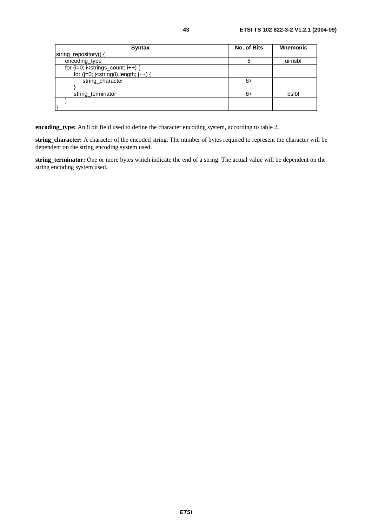| <b>Syntax</b>                              | No. of Bits | <b>Mnemonic</b> |
|--------------------------------------------|-------------|-----------------|
| string_repository() {                      |             |                 |
| encoding_type                              | 8           | uimsbf          |
| for $(i=0; i<$ strings_count; $i++$ ) {    |             |                 |
| for $(j=0; j<$ string(i).length; $j++$ ) { |             |                 |
| string_character                           | 8+          |                 |
|                                            |             |                 |
| string_terminator                          | 8+          | bslbf           |
|                                            |             |                 |
|                                            |             |                 |

**encoding\_type:** An 8 bit field used to define the character encoding system, according to table 2.

**string\_character:** A character of the encoded string. The number of bytes required to represent the character will be dependent on the string encoding system used.

**string\_terminator:** One or more bytes which indicate the end of a string. The actual value will be dependent on the string encoding system used.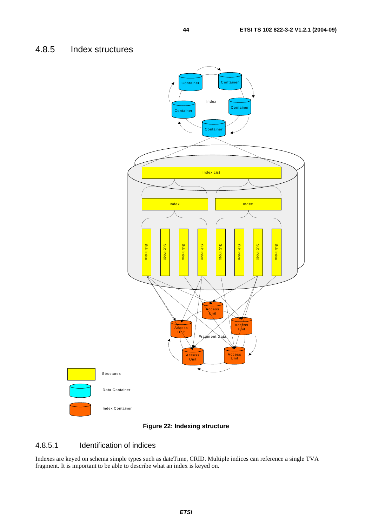### 4.8.5 Index structures

![](_page_43_Figure_2.jpeg)

#### **Figure 22: Indexing structure**

### 4.8.5.1 Identification of indices

Indexes are keyed on schema simple types such as dateTime, CRID. Multiple indices can reference a single TVA fragment. It is important to be able to describe what an index is keyed on.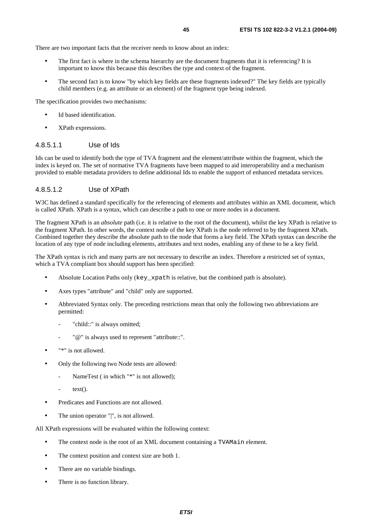There are two important facts that the receiver needs to know about an index:

- The first fact is where in the schema hierarchy are the document fragments that it is referencing? It is important to know this because this describes the type and context of the fragment.
- The second fact is to know "by which key fields are these fragments indexed?" The key fields are typically child members (e.g. an attribute or an element) of the fragment type being indexed.

The specification provides two mechanisms:

- Id based identification
- XPath expressions.

#### 4.8.5.1.1 Use of Ids

Ids can be used to identify both the type of TVA fragment and the element/attribute within the fragment, which the index is keyed on. The set of normative TVA fragments have been mapped to aid interoperability and a mechanism provided to enable metadata providers to define additional Ids to enable the support of enhanced metadata services.

#### 4.8.5.1.2 Use of XPath

W3C has defined a standard specifically for the referencing of elements and attributes within an XML document, which is called XPath. XPath is a syntax, which can describe a path to one or more nodes in a document.

The fragment XPath is an *absolute* path (i.e. it is relative to the root of the document), whilst the key XPath is relative to the fragment XPath. In other words, the context node of the key XPath is the node referred to by the fragment XPath. Combined together they describe the absolute path to the node that forms a key field. The XPath syntax can describe the location of any type of node including elements, attributes and text nodes, enabling any of these to be a key field.

The XPath syntax is rich and many parts are not necessary to describe an index. Therefore a restricted set of syntax, which a TVA compliant box should support has been specified:

- Absolute Location Paths only (key\_xpath is relative, but the combined path is absolute).
- Axes types "attribute" and "child" only are supported.
- Abbreviated Syntax only. The preceding restrictions mean that only the following two abbreviations are permitted:
	- "child::" is always omitted;
	- "@" is always used to represent "attribute::".
- "\*" is not allowed.
- Only the following two Node tests are allowed:
	- NameTest (in which "\*" is not allowed);
	- $text()$ .
- Predicates and Functions are not allowed.
- The union operator "|", is not allowed.

All XPath expressions will be evaluated within the following context:

- The context node is the root of an XML document containing a TVAMain element.
- The context position and context size are both 1.
- There are no variable bindings.
- There is no function library.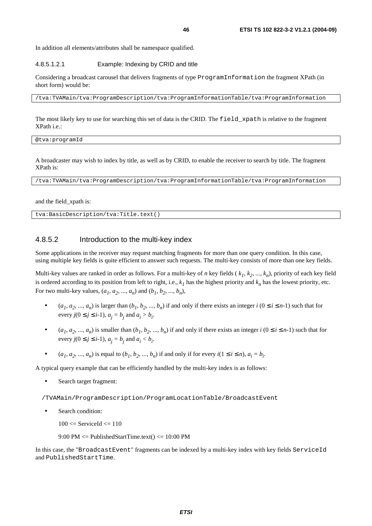In addition all elements/attributes shall be namespace qualified.

#### 4.8.5.1.2.1 Example: Indexing by CRID and title

Considering a broadcast carousel that delivers fragments of type ProgramInformation the fragment XPath (in short form) would be:

/tva:TVAMain/tva:ProgramDescription/tva:ProgramInformationTable/tva:ProgramInformation

The most likely key to use for searching this set of data is the CRID. The field\_xpath is relative to the fragment XPath i.e.:

@tva:programId

A broadcaster may wish to index by title, as well as by CRID, to enable the receiver to search by title. The fragment XPath is:

/tva:TVAMain/tva:ProgramDescription/tva:ProgramInformationTable/tva:ProgramInformation

and the field\_xpath is:

tva:BasicDescription/tva:Title.text()

#### 4.8.5.2 Introduction to the multi-key index

Some applications in the receiver may request matching fragments for more than one query condition. In this case, using multiple key fields is quite efficient to answer such requests. The multi-key consists of more than one key fields.

Multi-key values are ranked in order as follows. For a multi-key of *n* key fields ( $k_1, k_2, ..., k_n$ ), priority of each key field is ordered according to its position from left to right, i.e.,  $k_l$  has the highest priority and  $k_n$  has the lowest priority, etc. For two multi-key values,  $(a_1, a_2, ..., a_n)$  and  $(b_1, b_2, ..., b_n)$ ,

- $(a_1, a_2, ..., a_n)$  is larger than  $(b_1, b_2, ..., b_n)$  if and only if there exists an integer  $i$   $(0 \le i \le n-1)$  such that for every  $j(0 \le j \le i-1)$ ,  $a_j = b_j$  and  $a_i > b_i$ .
- $(a_1, a_2, ..., a_n)$  is smaller than  $(b_1, b_2, ..., b_n)$  if and only if there exists an integer  $i$   $(0 \le i \le n-1)$  such that for every  $j(0 \le j \le i-1)$ ,  $a_j = b_j$  and  $a_i < b_i$ .
- $(a_1, a_2, ..., a_n)$  is equal to  $(b_1, b_2, ..., b_n)$  if and only if for every  $i(1 \le i \le n)$ ,  $a_i = b_i$ .

A typical query example that can be efficiently handled by the multi-key index is as follows:

Search target fragment:

/TVAMain/ProgramDescription/ProgramLocationTable/BroadcastEvent

• Search condition:

 $100 \leq$  ServiceId  $\leq$  110

 $9:00 \text{ PM} \leq \text{PublishedStartTime.text}() \leq 10:00 \text{ PM}$ 

In this case, the "BroadcastEvent" fragments can be indexed by a multi-key index with key fields ServiceId and PublishedStartTime.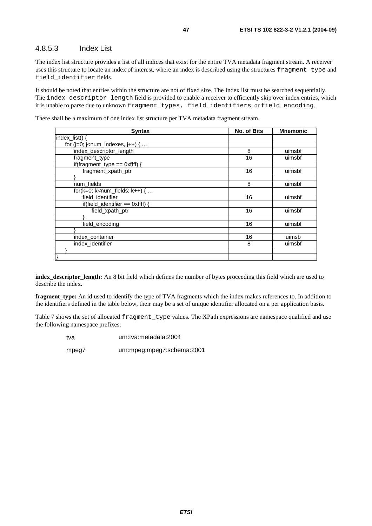### 4.8.5.3 Index List

The index list structure provides a list of all indices that exist for the entire TVA metadata fragment stream. A receiver uses this structure to locate an index of interest, where an index is described using the structures fragment\_type and field\_identifier fields.

It should be noted that entries within the structure are not of fixed size. The Index list must be searched sequentially. The index\_descriptor\_length field is provided to enable a receiver to efficiently skip over index entries, which it is unable to parse due to unknown fragment\_types, field\_identifiers, or field\_encoding.

There shall be a maximum of one index list structure per TVA metadata fragment stream.

| <b>Syntax</b>                                                   | No. of Bits | <b>Mnemonic</b> |
|-----------------------------------------------------------------|-------------|-----------------|
| $index$ list().                                                 |             |                 |
| for ( $j=0$ ; $j$ <num_indexes, <math="">j++) { </num_indexes,> |             |                 |
| index descriptor length                                         | 8           | uimsbf          |
| fragment_type                                                   | 16          | uimsbf          |
| if(fragment_type == $0$ xffff) {                                |             |                 |
| fragment_xpath_ptr                                              | 16          | uimsbf          |
|                                                                 |             |                 |
| num_fields                                                      | 8           | uimsbf          |
| for( $k=0$ ; $k<$ num_fields; $k++$ ) {                         |             |                 |
| field identifier                                                | 16          | uimsbf          |
| if(field_identifier == $0$ xffff)                               |             |                 |
| field_xpath_ptr                                                 | 16          | uimsbf          |
|                                                                 |             |                 |
| field_encoding                                                  | 16          | uimsbf          |
|                                                                 |             |                 |
| index_container                                                 | 16          | uimsb           |
| index_identifier                                                | 8           | uimsbf          |
|                                                                 |             |                 |
|                                                                 |             |                 |

**index\_descriptor\_length:** An 8 bit field which defines the number of bytes proceeding this field which are used to describe the index.

**fragment\_type:** An id used to identify the type of TVA fragments which the index makes references to. In addition to the identifiers defined in the table below, their may be a set of unique identifier allocated on a per application basis.

Table 7 shows the set of allocated fragment\_type values. The XPath expressions are namespace qualified and use the following namespace prefixes:

tva urn:tva:metadata:2004

mpeg7 urn:mpeg:mpeg7:schema:2001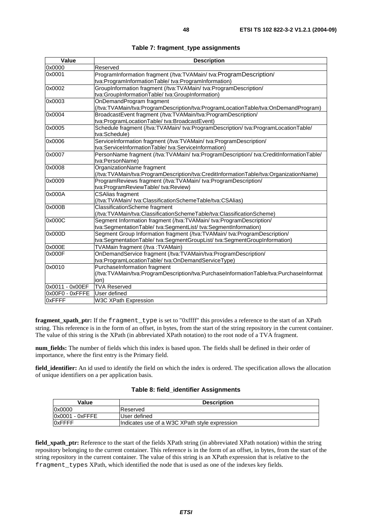| Value           | <b>Description</b>                                                                     |
|-----------------|----------------------------------------------------------------------------------------|
| 0x0000          | Reserved                                                                               |
| 0x0001          | ProgramInformation fragment (/tva:TVAMain/ tva:ProgramDescription/                     |
|                 | tva:ProgramInformationTable/tva:ProgramInformation)                                    |
| 0x0002          | GroupInformation fragment (/tva:TVAMain/ tva:ProgramDescription/                       |
|                 | tva:GroupInformationTable/tva:GroupInformation)                                        |
| 0x0003          | OnDemandProgram fragment                                                               |
|                 | (/tva:TVAMain/tva:ProgramDescription/tva:ProgramLocationTable/tva:OnDemandProgram)     |
| 0x0004          | BroadcastEvent fragment (/tva:TVAMain/tva:ProgramDescription/                          |
|                 | tva:ProgramLocationTable/ tva:BroadcastEvent)                                          |
| 0x0005          | Schedule fragment (/tva:TVAMain/ tva:ProgramDescription/ tva:ProgramLocationTable/     |
|                 | tva:Schedule)                                                                          |
| 0x0006          | ServiceInformation fragment (/tva:TVAMain/ tva:ProgramDescription/                     |
|                 | tva:ServiceInformationTable/ tva:ServiceInformation)                                   |
| 0x0007          | PersonName fragment (/tva:TVAMain/ tva:ProgramDescription/ tva:CreditInformationTable/ |
|                 | tva:PersonName)                                                                        |
| 0x0008          | OrganizationName fragment                                                              |
|                 | (/tva:TVAMain/tva:ProgramDescription/tva:CreditInformationTable/tva:OrganizationName)  |
| 0x0009          | ProgramReviews fragment (/tva:TVAMain/ tva:ProgramDescription/                         |
|                 | tva:ProgramReviewTable/tva:Review)                                                     |
| 0x000A          | <b>CSAlias fragment</b>                                                                |
|                 | (/tva:TVAMain/ tva:ClassificationSchemeTable/tva:CSAlias)                              |
| 0x000B          | ClassificationScheme fragment                                                          |
|                 | (/tva:TVAMain/tva:ClassificationSchemeTable/tva:ClassificationScheme)                  |
| 0x000C          | Segment Information fragment (/tva:TVAMain/ tva:ProgramDescription/                    |
|                 | tva:SegmentationTable/ tva:SegmentList/ tva:SegmentInformation)                        |
| 0x000D          | Segment Group Information fragment (/tva:TVAMain/ tva:ProgramDescription/              |
|                 | tva:SegmentationTable/ tva:SegmentGroupList/ tva:SegmentGroupInformation)              |
| 0x000E          | TVAMain fragment (/tva:TVAMain)                                                        |
| 0x000F          | OnDemandService fragment (/tva:TVAMain/tva:ProgramDescription/                         |
|                 | tva:ProgramLocationTable/tva:OnDemandServiceType)                                      |
| 0x0010          | PurchaseInformation fragment                                                           |
|                 | (/tva:TVAMain/tva:ProgramDescription/tva:PurchaseInformationTable/tva:PurchaseInformat |
|                 | ion)                                                                                   |
| 0x0011 - 0x00EF | <b>TVA Reserved</b>                                                                    |
| 0x00F0 - 0xFFFE | User defined                                                                           |
| 0xFFFF          | W3C XPath Expression                                                                   |

|  | Table 7: fragment_type assignments |  |  |
|--|------------------------------------|--|--|
|--|------------------------------------|--|--|

**fragment\_xpath\_ptr:** If the fragment\_type is set to "0xffff" this provides a reference to the start of an XPath string. This reference is in the form of an offset, in bytes, from the start of the string repository in the current container. The value of this string is the XPath (in abbreviated XPath notation) to the root node of a TVA fragment.

**num\_fields:** The number of fields which this index is based upon. The fields shall be defined in their order of importance, where the first entry is the Primary field.

**field\_identifier:** An id used to identify the field on which the index is ordered. The specification allows the allocation of unique identifiers on a per application basis.

|  |  | Table 8: field_identifier Assignments |
|--|--|---------------------------------------|
|--|--|---------------------------------------|

| Value           | <b>Description</b>                            |
|-----------------|-----------------------------------------------|
| 0x0000          | Reserved                                      |
| 0x0001 - 0xFFFE | User defined                                  |
| <b>OxFFFF</b>   | Indicates use of a W3C XPath style expression |

**field\_xpath\_ptr:** Reference to the start of the fields XPath string (in abbreviated XPath notation) within the string repository belonging to the current container. This reference is in the form of an offset, in bytes, from the start of the string repository in the current container. The value of this string is an XPath expression that is relative to the fragment\_types XPath, which identified the node that is used as one of the indexes key fields.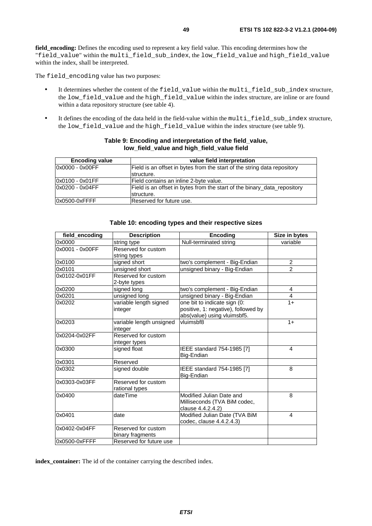**field encoding:** Defines the encoding used to represent a key field value. This encoding determines how the "field value" within the multi field sub index, the low field value and high field value within the index, shall be interpreted.

The field\_encoding value has two purposes:

- It determines whether the content of the field\_value within the multi\_field\_sub\_index structure, the low\_field\_value and the high\_field\_value within the index structure, are inline or are found within a data repository structure (see table 4).
- It defines the encoding of the data held in the field-value within the multi\_field\_sub\_index structure, the low field value and the high field value within the index structure (see table 9).

| <b>Encoding value</b> | value field interpretation                                               |
|-----------------------|--------------------------------------------------------------------------|
| 0x0000 - 0x00FF       | Field is an offset in bytes from the start of the string data repository |
|                       | structure.                                                               |
| 0x0100 - 0x01FF       | lField contains an inline 2-bvte value.                                  |
| 0x0200 - 0x04FF       | Field is an offset in bytes from the start of the binary data repository |
|                       | structure.                                                               |
| 0x0500-0xFFFF         | Reserved for future use.                                                 |

#### **Table 9: Encoding and interpretation of the field\_value, low\_field\_value and high\_field\_value field**

| field_encoding  | <b>Description</b>                      | <b>Encoding</b>                                                                                    | Size in bytes            |
|-----------------|-----------------------------------------|----------------------------------------------------------------------------------------------------|--------------------------|
| 0x0000          | string type                             | Null-terminated string                                                                             | variable                 |
| 0x0001 - 0x00FF | Reserved for custom<br>string types     |                                                                                                    |                          |
| 0x0100          | signed short                            | two's complement - Big-Endian                                                                      | $\overline{2}$           |
| 0x0101          | unsigned short                          | unsigned binary - Big-Endian                                                                       | $\overline{2}$           |
| 0x0102-0x01FF   | Reserved for custom<br>2-byte types     |                                                                                                    |                          |
| 0x0200          | signed long                             | two's complement - Big-Endian                                                                      | 4                        |
| 0x0201          | unsigned long                           | unsigned binary - Big-Endian                                                                       | 4                        |
| 0x0202          | variable length signed<br>integer       | one bit to indicate sign (0:<br>positive, 1: negative), followed by<br>abs(value) using vluimsbf5. | $1+$                     |
| 0x0203          | variable length unsigned<br>integer     | vluimsbf8                                                                                          | $1+$                     |
| 0x0204-0x02FF   | Reserved for custom<br>integer types    |                                                                                                    |                          |
| 0x0300          | signed float                            | IEEE standard 754-1985 [7]<br>Big-Endian                                                           | $\overline{\mathcal{L}}$ |
| 0x0301          | Reserved                                |                                                                                                    |                          |
| 0x0302          | signed double                           | <b>IEEE</b> standard 754-1985 [7]<br>Big-Endian                                                    | 8                        |
| 0x0303-0x03FF   | Reserved for custom<br>rational types   |                                                                                                    |                          |
| 0x0400          | dateTime                                | Modified Julian Date and<br>Milliseconds (TVA BiM codec,<br>clause 4.4.2.4.2)                      | 8                        |
| 0x0401          | date                                    | Modified Julian Date (TVA BiM<br>codec, clause 4.4.2.4.3)                                          | 4                        |
| 0x0402-0x04FF   | Reserved for custom<br>binary fragments |                                                                                                    |                          |
| 0x0500-0xFFFF   | Reserved for future use                 |                                                                                                    |                          |

#### **Table 10: encoding types and their respective sizes**

**index\_container:** The id of the container carrying the described index.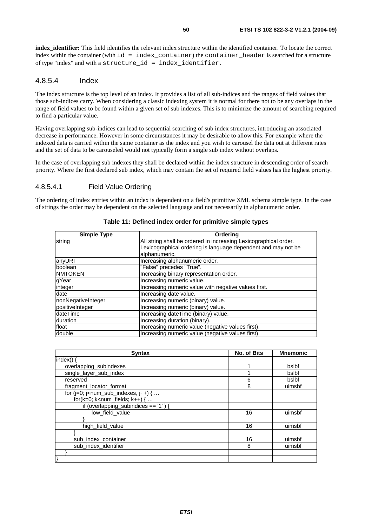**index identifier:** This field identifies the relevant index structure within the identified container. To locate the correct index within the container (with  $id = index content$  container) the container header is searched for a structure of type "index" and with a structure\_id = index\_identifier.

### 4.8.5.4 Index

The index structure is the top level of an index. It provides a list of all sub-indices and the ranges of field values that those sub-indices carry. When considering a classic indexing system it is normal for there not to be any overlaps in the range of field values to be found within a given set of sub indexes. This is to minimize the amount of searching required to find a particular value.

Having overlapping sub-indices can lead to sequential searching of sub index structures, introducing an associated decrease in performance. However in some circumstances it may be desirable to allow this. For example where the indexed data is carried within the same container as the index and you wish to carousel the data out at different rates and the set of data to be carouseled would not typically form a single sub index without overlaps.

In the case of overlapping sub indexes they shall be declared within the index structure in descending order of search priority. Where the first declared sub index, which may contain the set of required field values has the highest priority.

#### 4.8.5.4.1 Field Value Ordering

The ordering of index entries within an index is dependent on a field's primitive XML schema simple type. In the case of strings the order may be dependent on the selected language and not necessarily in alphanumeric order.

| <b>Simple Type</b> | Ordering                                                                                                                                           |
|--------------------|----------------------------------------------------------------------------------------------------------------------------------------------------|
| string             | All string shall be ordered in increasing Lexicographical order.<br>Lexicographical ordering is language dependent and may not be<br>alphanumeric. |
| anyURI             | Increasing alphanumeric order.                                                                                                                     |
| boolean            | "False" precedes "True".                                                                                                                           |
| <b>NMTOKEN</b>     | Increasing binary representation order.                                                                                                            |
| gYear              | Increasing numeric value.                                                                                                                          |
| integer            | Increasing numeric value with negative values first.                                                                                               |
| date               | Increasing date value.                                                                                                                             |
| nonNegativeInteger | Increasing numeric (binary) value.                                                                                                                 |
| positiveInteger    | Increasing numeric (binary) value.                                                                                                                 |
| dateTime           | Increasing dateTime (binary) value.                                                                                                                |
| duration           | Increasing duration (binary).                                                                                                                      |
| float              | Increasing numeric value (negative values first).                                                                                                  |
| double             | Increasing numeric value (negative values first).                                                                                                  |

| <b>Syntax</b>                            | No. of Bits | <b>Mnemonic</b> |
|------------------------------------------|-------------|-----------------|
| index()                                  |             |                 |
| overlapping_subindexes                   |             | bslbf           |
| single_layer_sub_index                   |             | bslbf           |
| reserved                                 | 6           | bslbf           |
| fragment_locator_format                  | 8           | uimsbf          |
| for $(i=0; j1 - num_sub_indexes, i++)$ { |             |                 |
| for( $k=0$ ; $k<$ num_fields; $k++$ ) {  |             |                 |
| if (overlapping_subindices == '1') {     |             |                 |
| low_field_value                          | 16          | uimsbf          |
|                                          |             |                 |
| high field value                         | 16          | uimsbf          |
|                                          |             |                 |
| sub index container                      | 16          | uimsbf          |
| sub_index_identifier                     | 8           | uimsbf          |
|                                          |             |                 |
|                                          |             |                 |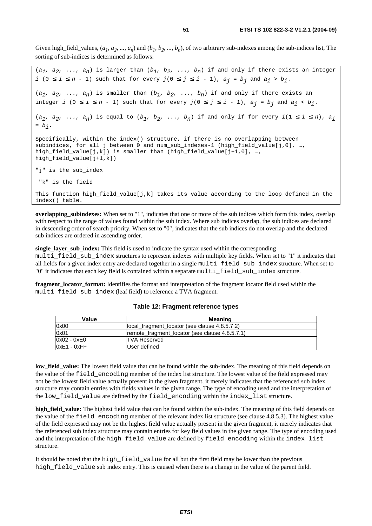Given high\_field\_values,  $(a_1, a_2, ..., a_n)$  and  $(b_1, b_2, ..., b_n)$ , of two arbitrary sub-indexes among the sub-indices list, The sorting of sub-indices is determined as follows:

```
(a_1, a_2, \ldots, a_n) is larger than (b_1, b_2, \ldots, b_n) if and only if there exists an integer
i (0 ≤ i ≤ n - 1) such that for every j(0 ≤ j ≤ i - 1), a_j = b_j and a_j > b_j.
(a_1, a_2, \ldots, a_n) is smaller than (b_1, b_2, \ldots, b_n) if and only if there exists an
integer i (0 \le i \le n - 1) such that for every j(0 \le j \le i - 1), a_j = b_j and a_i < b_j.
(a_1, a_2, \ldots, a_n) is equal to (b_1, b_2, \ldots, b_n) if and only if for every i(1 \le i \le n), a_i= b_i.
Specifically, within the index() structure, if there is no overlapping between 
subindices, for all j between 0 and num_sub_indexes-1 (high_field_value[j,0], …, 
high_field_value[j,k]) is smaller than (high_field_value[j+1,0], …, 
high field_value[j+1,k])
"j" is the sub_index 
  "k" is the field
This function high_field_value[j,k] takes its value according to the loop defined in the
index() table.
```
**overlapping\_subindexes:** When set to "1", indicates that one or more of the sub indices which form this index, overlap with respect to the range of values found within the sub index. Where sub indices overlap, the sub indices are declared in descending order of search priority. When set to "0", indicates that the sub indices do not overlap and the declared sub indices are ordered in ascending order.

**single\_layer\_sub\_index:** This field is used to indicate the syntax used within the corresponding multi\_field\_sub\_index structures to represent indexes with multiple key fields. When set to "1" it indicates that all fields for a given index entry are declared together in a single multi\_field\_sub\_index structure. When set to "0" it indicates that each key field is contained within a separate multi\_field\_sub\_index structure.

**fragment** locator format: Identifies the format and interpretation of the fragment locator field used within the multi field sub index (leaf field) to reference a TVA fragment.

|  | Table 12: Fragment reference types |
|--|------------------------------------|
|--|------------------------------------|

| Value         | Meaning                                        |
|---------------|------------------------------------------------|
| 0x00          | local fragment locator (see clause 4.8.5.7.2)  |
| 0x01          | remote fragment locator (see clause 4.8.5.7.1) |
| $0x02 - 0xE0$ | <b>TVA Reserved</b>                            |
| $0xE1 - 0xFF$ | User defined                                   |

**low field value:** The lowest field value that can be found within the sub-index. The meaning of this field depends on the value of the field\_encoding member of the index list structure. The lowest value of the field expressed may not be the lowest field value actually present in the given fragment, it merely indicates that the referenced sub index structure may contain entries with fields values in the given range. The type of encoding used and the interpretation of the low\_field\_value are defined by the field\_encoding within the index\_list structure.

**high\_field\_value:** The highest field value that can be found within the sub-index. The meaning of this field depends on the value of the field\_encoding member of the relevant index list structure (see clause 4.8.5.3). The highest value of the field expressed may not be the highest field value actually present in the given fragment, it merely indicates that the referenced sub index structure may contain entries for key field values in the given range. The type of encoding used and the interpretation of the high\_field\_value are defined by field\_encoding within the index\_list structure.

It should be noted that the high\_field\_value for all but the first field may be lower than the previous high\_field\_value sub index entry. This is caused when there is a change in the value of the parent field.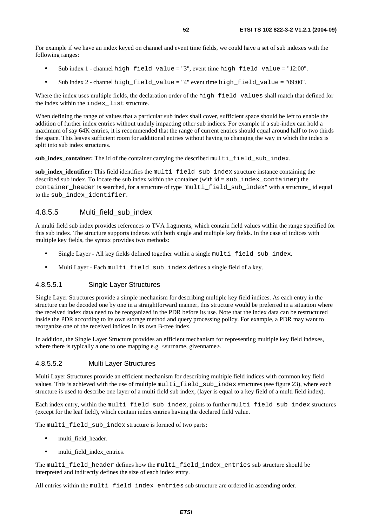For example if we have an index keyed on channel and event time fields, we could have a set of sub indexes with the following ranges:

- Sub index 1 channel high\_field\_value = "3", event time high\_field\_value = "12:00".
- Sub index 2 channel high field value = "4" event time high field value = "09:00".

Where the index uses multiple fields, the declaration order of the high\_field\_values shall match that defined for the index within the index\_list structure.

When defining the range of values that a particular sub index shall cover, sufficient space should be left to enable the addition of further index entries without unduly impacting other sub indices. For example if a sub-index can hold a maximum of say 64K entries, it is recommended that the range of current entries should equal around half to two thirds the space. This leaves sufficient room for additional entries without having to changing the way in which the index is split into sub index structures.

**sub\_index\_container:** The id of the container carrying the described multi\_field\_sub\_index.

**sub\_index\_identifier:** This field identifies the multi\_field\_sub\_index structure instance containing the described sub index. To locate the sub index within the container (with id = sub\_index\_container) the container\_header is searched, for a structure of type "multi\_field\_sub\_index" with a structure\_ id equal to the sub\_index\_identifier.

### 4.8.5.5 Multi\_field\_sub\_index

A multi field sub index provides references to TVA fragments, which contain field values within the range specified for this sub index. The structure supports indexes with both single and multiple key fields. In the case of indices with multiple key fields, the syntax provides two methods:

- Single Layer All key fields defined together within a single multi\_field\_sub\_index.
- Multi Layer Each multi field sub index defines a single field of a key.

#### 4.8.5.5.1 Single Layer Structures

Single Layer Structures provide a simple mechanism for describing multiple key field indices. As each entry in the structure can be decoded one by one in a straightforward manner, this structure would be preferred in a situation where the received index data need to be reorganized in the PDR before its use. Note that the index data can be restructured inside the PDR according to its own storage method and query processing policy. For example, a PDR may want to reorganize one of the received indices in its own B-tree index.

In addition, the Single Layer Structure provides an efficient mechanism for representing multiple key field indexes, where there is typically a one to one mapping e.g.  $\leq$ surname, givenname.

#### 4.8.5.5.2 Multi Layer Structures

Multi Layer Structures provide an efficient mechanism for describing multiple field indices with common key field values. This is achieved with the use of multiple multiled  $f$  index structures (see figure 23), where each structure is used to describe one layer of a multi field sub index, (layer is equal to a key field of a multi field index).

Each index entry, within the multi\_field\_sub\_index, points to further multi\_field\_sub\_index structures (except for the leaf field), which contain index entries having the declared field value.

The multi\_field\_sub\_index structure is formed of two parts:

- multi\_field\_header.
- multi\_field\_index\_entries.

The multi\_field\_header defines how the multi\_field\_index\_entries sub structure should be interpreted and indirectly defines the size of each index entry.

All entries within the multi\_field\_index\_entries sub structure are ordered in ascending order.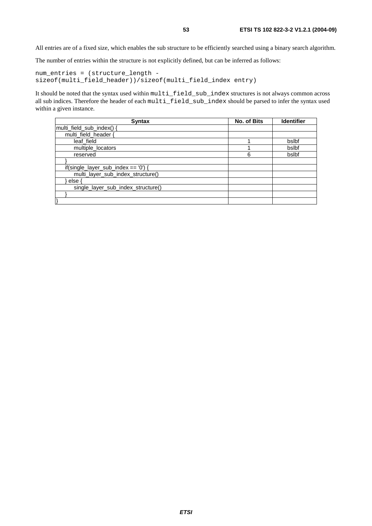All entries are of a fixed size, which enables the sub structure to be efficiently searched using a binary search algorithm.

The number of entries within the structure is not explicitly defined, but can be inferred as follows:

```
num_entries = (structure_length - 
sizeof(multi_field_header))/sizeof(multi_field_index entry)
```
It should be noted that the syntax used within multi\_field\_sub\_index structures is not always common across all sub indices. Therefore the header of each multi\_field\_sub\_index should be parsed to infer the syntax used within a given instance.

| Syntax                                 | No. of Bits | <b>Identifier</b> |
|----------------------------------------|-------------|-------------------|
| multi_field_sub_index() {              |             |                   |
| multi field header {                   |             |                   |
| leaf field                             |             | bslbf             |
| multiple locators                      |             | bslbf             |
| reserved                               | 6           | bslbf             |
|                                        |             |                   |
| if(single_layer_sub_index == $'0'$ ) { |             |                   |
| multi_layer_sub_index_structure()      |             |                   |
| else                                   |             |                   |
| single_layer_sub_index_structure()     |             |                   |
|                                        |             |                   |
|                                        |             |                   |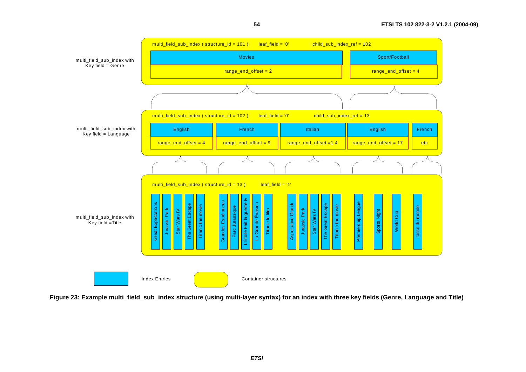![](_page_53_Figure_1.jpeg)

**54**

**Figure 23: Example multi\_field\_sub\_index structure (using multi-layer syntax) for an index with three key fields (Genre, Language and Title)**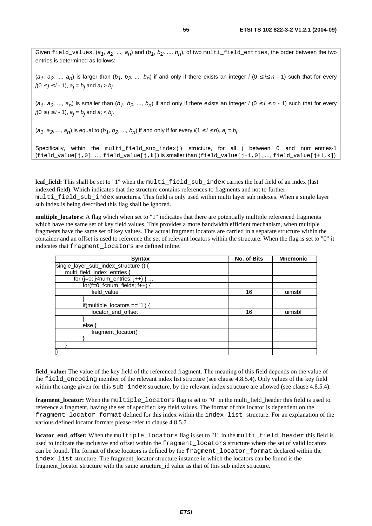Given field\_values,  $(a_1, a_2, ..., a_n)$  and  $(b_1, b_2, ..., b_n)$ , of two multi\_field\_entries, the order between the two entries is determined as follows:

(a<sub>1</sub>, a<sub>2</sub>, ..., a<sub>n</sub>) is larger than (b<sub>1</sub>, b<sub>2</sub>, ..., b<sub>n</sub>) if and only if there exists an integer i (0  $\leq$  i $\leq$  n - 1) such that for every  $j(0 \leq j \leq i - 1)$ ,  $a_j = b_j$  and  $a_j > b_j$ .

 $(a_1, a_2, ..., a_n)$  is smaller than  $(b_1, b_2, ..., b_n)$  if and only if there exists an integer i  $(0 \le i \le n - 1)$  such that for every  $j(0 \leq j \leq i - 1)$ ,  $a_j = b_j$  and  $a_j < b_j$ .

 $(a_1, a_2, ..., a_n)$  is equal to  $(b_1, b_2, ..., b_n)$  if and only if for every  $i(1 \le i \le n)$ ,  $a_i = b_i$ .

Specifically, within the multi\_field\_sub\_index() structure, for all j between 0 and num\_entries-1  $(field_value[j,0], ..., field_value[j,k])$  is smaller than  $(field_value[j+1,0], ..., field_value[j+1,k])$ 

leaf field: This shall be set to "1" when the multi field sub index carries the leaf field of an index (last indexed field). Which indicates that the structure contains references to fragments and not to further multi\_field\_sub\_index structures. This field is only used within multi layer sub indexes. When a single layer sub index is being described this flag shall be ignored.

**multiple** locators: A flag which when set to "1" indicates that there are potentially multiple referenced fragments which have the same set of key field values. This provides a more bandwidth efficient mechanism, when multiple fragments have the same set of key values. The actual fragment locators are carried in a separate structure within the container and an offset is used to reference the set of relevant locators within the structure. When the flag is set to "0" it indicates that fragment\_locators are defined inline.

| <b>Syntax</b>                                                      | No. of Bits | <b>Mnemonic</b> |
|--------------------------------------------------------------------|-------------|-----------------|
| single_layer_sub_index_structure () {                              |             |                 |
| multi_field_index_entries {                                        |             |                 |
| for (j=0; j <num_entries; <math="" j++)="">\{ \dots</num_entries;> |             |                 |
| $for(f=0; f$                                                       |             |                 |
| field_value                                                        | 16          | uimsbf          |
|                                                                    |             |                 |
| if(multiple_locators == $'1'$ ) {                                  |             |                 |
| locator end offset                                                 | 16          | uimsbf          |
|                                                                    |             |                 |
| else                                                               |             |                 |
| fragment locator()                                                 |             |                 |
|                                                                    |             |                 |
|                                                                    |             |                 |
|                                                                    |             |                 |

**field value:** The value of the key field of the referenced fragment. The meaning of this field depends on the value of the field\_encoding member of the relevant index list structure (see clause 4.8.5.4). Only values of the key field within the range given for this sub index structure, by the relevant index structure are allowed (see clause 4.8.5.4).

**fragment** locator: When the multiple locators flag is set to "0" in the multi-field header this field is used to reference a fragment, having the set of specified key field values. The format of this locator is dependent on the fragment locator\_format defined for this index within the index\_list structure. For an explanation of the various defined locator formats please refer to clause 4.8.5.7.

**locator\_end\_offset:** When the multiple\_locators flag is set to "1" in the multi\_field\_header this field is used to indicate the inclusive end offset within the fragment\_locators structure where the set of valid locators can be found. The format of these locators is defined by the fragment\_locator\_format declared within the index\_list structure. The fragment\_locator structure instance in which the locators can be found is the fragment\_locator structure with the same structure\_id value as that of this sub index structure.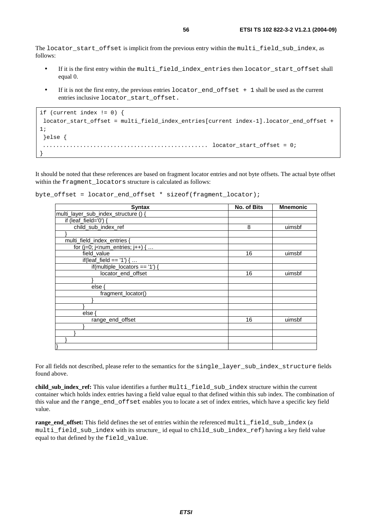The locator\_start\_offset is implicit from the previous entry within the multi\_field\_sub\_index, as follows:

- If it is the first entry within the multi\_field\_index\_entries then locator\_start\_offset shall equal 0.
- If it is not the first entry, the previous entries  $locator\_end\_offset + 1$  shall be used as the current entries inclusive locator\_start\_offset.

```
if (current index != 0) { 
locator_start_offset = multi_field_index_entries[current index-1].locator_end_offset +
1; 
  }else { 
 ................................................. locator_start_offset = 0; 
}
```
It should be noted that these references are based on fragment locator entries and not byte offsets. The actual byte offset within the fragment locators structure is calculated as follows:

|  |  |  |  |  |  | byte_offset = locator_end_offset * sizeof(fragment_locator); |  |
|--|--|--|--|--|--|--------------------------------------------------------------|--|
|--|--|--|--|--|--|--------------------------------------------------------------|--|

| <b>Syntax</b>                                                                       | No. of Bits | <b>Mnemonic</b> |
|-------------------------------------------------------------------------------------|-------------|-----------------|
| multi_layer_sub_index_structure () {                                                |             |                 |
| if (leaf_field='0') {                                                               |             |                 |
| child_sub_index_ref                                                                 | 8           | uimsbf          |
|                                                                                     |             |                 |
| multi_field_index_entries {                                                         |             |                 |
| for (j=0; j <num_entries; <="" j++)="" td="" {=""><td></td><td></td></num_entries;> |             |                 |
| field_value                                                                         | 16          | uimsbf          |
| if(leaf_field == '1') $\{ \dots$                                                    |             |                 |
| if(multiple_locators == '1') {                                                      |             |                 |
| locator_end_offset                                                                  | 16          | uimsbf          |
|                                                                                     |             |                 |
| else {                                                                              |             |                 |
| fragment_locator()                                                                  |             |                 |
|                                                                                     |             |                 |
|                                                                                     |             |                 |
| else {                                                                              |             |                 |
| range_end_offset                                                                    | 16          | uimsbf          |
|                                                                                     |             |                 |
|                                                                                     |             |                 |
|                                                                                     |             |                 |
|                                                                                     |             |                 |

For all fields not described, please refer to the semantics for the single\_layer\_sub\_index\_structure fields found above.

child\_sub\_index\_ref: This value identifies a further multi\_field\_sub\_index structure within the current container which holds index entries having a field value equal to that defined within this sub index. The combination of this value and the range\_end\_offset enables you to locate a set of index entries, which have a specific key field value.

**range** end offset: This field defines the set of entries within the referenced multi field sub index (a multi field sub index with its structure id equal to child sub index ref) having a key field value equal to that defined by the field\_value.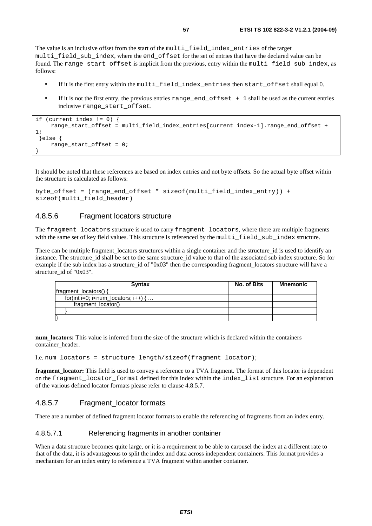The value is an inclusive offset from the start of the multi\_field\_index\_entries of the target multi field sub index, where the end offset for the set of entries that have the declared value can be found. The range\_start\_offset is implicit from the previous, entry within the multi\_field\_sub\_index, as follows:

- If it is the first entry within the multi\_field\_index\_entries then start\_offset shall equal 0.
- If it is not the first entry, the previous entries range end of fset  $+1$  shall be used as the current entries inclusive range\_start\_offset.

```
if (current index != 0) { 
      range_start_offset = multi_field_index_entries[current index-1].range_end_offset + 
1; 
  }else { 
      range_start_offset = 0; 
}
```
It should be noted that these references are based on index entries and not byte offsets. So the actual byte offset within the structure is calculated as follows:

```
byte_offset = (range_end_offset * sizeof(multi_field_index_entry)) + 
sizeof(multi_field_header)
```
### 4.8.5.6 Fragment locators structure

The fragment locators structure is used to carry fragment locators, where there are multiple fragments with the same set of key field values. This structure is referenced by the multi field sub index structure.

There can be multiple fragment locators structures within a single container and the structure id is used to identify an instance. The structure id shall be set to the same structure id value to that of the associated sub index structure. So for example if the sub index has a structure id of "0x03" then the corresponding fragment locators structure will have a structure id of "0x03".

| <b>Syntax</b>                                                           | No. of Bits | Mnemonic |
|-------------------------------------------------------------------------|-------------|----------|
| fragment_locators() {                                                   |             |          |
| for(int i=0; i <num_locators; <math="" i++)="">\{ \dots</num_locators;> |             |          |
| fragment_locator()                                                      |             |          |
|                                                                         |             |          |
|                                                                         |             |          |

**num\_locators:** This value is inferred from the size of the structure which is declared within the containers container\_header.

I.e. num\_locators = structure\_length/sizeof(fragment\_locator);

**fragment\_locator:** This field is used to convey a reference to a TVA fragment. The format of this locator is dependent on the fragment\_locator\_format defined for this index within the index\_list structure. For an explanation of the various defined locator formats please refer to clause 4.8.5.7.

### 4.8.5.7 Fragment locator formats

There are a number of defined fragment locator formats to enable the referencing of fragments from an index entry.

#### 4.8.5.7.1 Referencing fragments in another container

When a data structure becomes quite large, or it is a requirement to be able to carousel the index at a different rate to that of the data, it is advantageous to split the index and data across independent containers. This format provides a mechanism for an index entry to reference a TVA fragment within another container.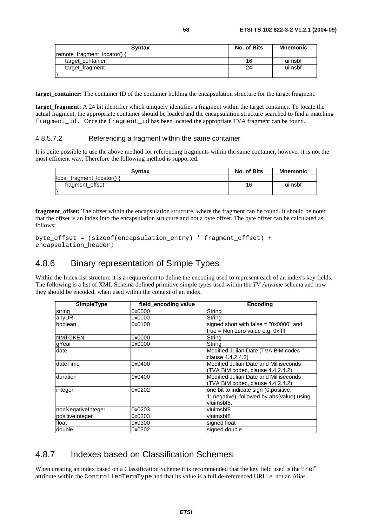| <b>Syntax</b>                  | No. of Bits | Mnemonic |
|--------------------------------|-------------|----------|
| remote fragment locator() $\{$ |             |          |
| target container               | 16          | uimsbf   |
| target fragment                | 24          | uimsbf   |
|                                |             |          |

**target\_container:** The container ID of the container holding the encapsulation structure for the target fragment.

**target fragment:** A 24 bit identifier which uniquely identifies a fragment within the target container. To locate the actual fragment, the appropriate container should be loaded and the encapsulation structure searched to find a matching fragment\_id. Once the fragment\_id has been located the appropriate TVA fragment can be found.

#### 4.8.5.7.2 Referencing a fragment within the same container

It is quite possible to use the above method for referencing fragments within the same container, however it is not the most efficient way. Therefore the following method is supported.

| <b>Syntax</b>            | No. of Bits | <b>Mnemonic</b> |
|--------------------------|-------------|-----------------|
| local_fragment_locator() |             |                 |
| fragment offset          | 16          | uimsbf          |
|                          |             |                 |

**fragment\_offset:** The offset within the encapsulation structure, where the fragment can be found. It should be noted that the offset is an index into the encapsulation structure and not a byte offset. The byte offset can be calculated as follows:

```
byte_offset = (sizeof(encapsulation_entry) * fragment_offset) + 
encapsulation header;
```
### 4.8.6 Binary representation of Simple Types

Within the Index list structure it is a requirement to define the encoding used to represent each of an index's key fields. The following is a list of XML Schema defined primitive simple types used within the *TV-Anytime* schema and how they should be encoded, when used within the context of an index.

| <b>SimpleType</b>  | field_encoding value | <b>Encoding</b>                            |
|--------------------|----------------------|--------------------------------------------|
| string             | 0x0000               | String                                     |
| anyURI             | 0x0000               | String                                     |
| boolean            | 0x0100               | signed short with false $=$ "0x0000" and   |
|                    |                      | true = Non zero value e.g. 0xffff          |
| <b>NMTOKEN</b>     | 0x0000               | String                                     |
| gYear              | 0x0000               | String                                     |
| date               |                      | Modified Julian Date (TVA BiM codec        |
|                    |                      | clause 4.4.2.4.3)                          |
| dateTime           | 0x0400               | Modified Julian Date and Milliseconds      |
|                    |                      | (TVA BiM codec, clause 4.4.2.4.2)          |
| duration           | 0x0400               | Modified Julian Date and Milliseconds      |
|                    |                      | (TVA BiM codec, clause 4.4.2.4.2)          |
| integer            | 0x0202               | one bit to indicate sign (0:positive,      |
|                    |                      | 1: negative), followed by abs(value) using |
|                    |                      | vluimsbf5.                                 |
| nonNegativeInteger | 0x0203               | vluimsbf8                                  |
| positiveInteger    | 0x0203               | vluimsbf8                                  |
| float              | 0x0300               | signed float                               |
| double             | 0x0302               | signed double                              |

### 4.8.7 Indexes based on Classification Schemes

When creating an index based on a Classification Scheme it is recommended that the key field used is the href attribute within the ControlledTermType and that its value is a full de-referenced URI i.e. not an Alias.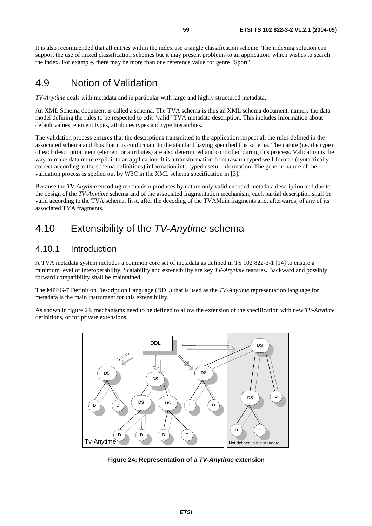It is also recommended that all entries within the index use a single classification scheme. The indexing solution can support the use of mixed classification schemes but it may present problems to an application, which wishes to search the index. For example, there may be more than one reference value for genre "Sport".

# 4.9 Notion of Validation

*TV-Anytime* deals with metadata and in particular with large and highly structured metadata.

An XML Schema document is called a schema. The TVA schema is thus an XML schema document, namely the data model defining the rules to be respected to edit "valid" TVA metadata description. This includes information about default values, element types, attributes types and type hierarchies.

The validation process ensures that the descriptions transmitted to the application respect all the rules defined in the associated schema and thus that it is conformant to the standard having specified this schema. The nature (i.e. the type) of each description item (element or attributes) are also determined and controlled during this process. Validation is the way to make data more explicit to an application. It is a transformation from raw un-typed well-formed (syntactically correct according to the schema definitions) information into typed useful information. The generic nature of the validation process is spelled out by W3C in the XML schema specification in [3].

Because the *TV-Anytime* encoding mechanism produces by nature only valid encoded metadata description and due to the design of the *TV-Anytime* schema and of the associated fragmentation mechanism, each partial description shall be valid according to the TVA schema, first, after the decoding of the TVAMain fragments and, afterwards, of any of its associated TVA fragments.

# 4.10 Extensibility of the TV-Anytime schema

### 4.10.1 Introduction

A TVA metadata system includes a common core set of metadata as defined in TS 102 822-3-1 [14] to ensure a minimum level of interoperability. Scalability and extensibility are key *TV-Anytime* features. Backward and possibly forward compatibility shall be maintained.

The MPEG-7 Definition Description Language (DDL) that is used as the *TV-Anytime* representation language for metadata is the main instrument for this extensibility.

As shown in figure 24, mechanisms need to be defined to allow the extension of the specification with new *TV-Anytime* definitions, or for private extensions.

![](_page_58_Figure_12.jpeg)

**Figure 24: Representation of a TV-Anytime extension**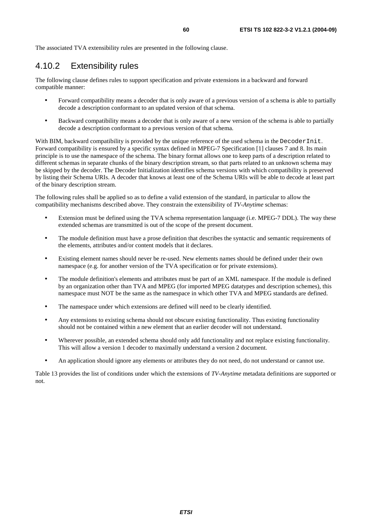The associated TVA extensibility rules are presented in the following clause.

# 4.10.2 Extensibility rules

The following clause defines rules to support specification and private extensions in a backward and forward compatible manner:

- Forward compatibility means a decoder that is only aware of a previous version of a schema is able to partially decode a description conformant to an updated version of that schema.
- Backward compatibility means a decoder that is only aware of a new version of the schema is able to partially decode a description conformant to a previous version of that schema.

With BIM, backward compatibility is provided by the unique reference of the used schema in the DecoderInit. Forward compatibility is ensured by a specific syntax defined in MPEG-7 Specification [1] clauses 7 and 8. Its main principle is to use the namespace of the schema. The binary format allows one to keep parts of a description related to different schemas in separate chunks of the binary description stream, so that parts related to an unknown schema may be skipped by the decoder. The Decoder Initialization identifies schema versions with which compatibility is preserved by listing their Schema URIs. A decoder that knows at least one of the Schema URIs will be able to decode at least part of the binary description stream.

The following rules shall be applied so as to define a valid extension of the standard, in particular to allow the compatibility mechanisms described above. They constrain the extensibility of *TV-Anytime* schemas:

- Extension must be defined using the TVA schema representation language (i.e. MPEG-7 DDL). The way these extended schemas are transmitted is out of the scope of the present document.
- The module definition must have a prose definition that describes the syntactic and semantic requirements of the elements, attributes and/or content models that it declares.
- Existing element names should never be re-used. New elements names should be defined under their own namespace (e.g. for another version of the TVA specification or for private extensions).
- The module definition's elements and attributes must be part of an XML namespace. If the module is defined by an organization other than TVA and MPEG (for imported MPEG datatypes and description schemes), this namespace must NOT be the same as the namespace in which other TVA and MPEG standards are defined.
- The namespace under which extensions are defined will need to be clearly identified.
- Any extensions to existing schema should not obscure existing functionality. Thus existing functionality should not be contained within a new element that an earlier decoder will not understand.
- Wherever possible, an extended schema should only add functionality and not replace existing functionality. This will allow a version 1 decoder to maximally understand a version 2 document.
- An application should ignore any elements or attributes they do not need, do not understand or cannot use.

Table 13 provides the list of conditions under which the extensions of *TV-Anytime* metadata definitions are supported or not.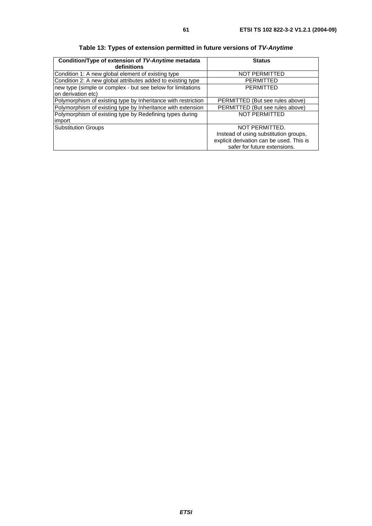| Condition/Type of extension of TV-Anytime metadata<br>definitions | <b>Status</b>                            |
|-------------------------------------------------------------------|------------------------------------------|
| Condition 1: A new global element of existing type                | <b>NOT PERMITTED</b>                     |
| Condition 2: A new global attributes added to existing type       | <b>PERMITTED</b>                         |
| new type (simple or complex - but see below for limitations       | <b>PERMITTED</b>                         |
| on derivation etc)                                                |                                          |
| Polymorphism of existing type by Inheritance with restriction     | PERMITTED (But see rules above)          |
| Polymorphism of existing type by Inheritance with extension       | PERMITTED (But see rules above)          |
| Polymorphism of existing type by Redefining types during          | <b>NOT PERMITTED</b>                     |
| limport                                                           |                                          |
| <b>Substitution Groups</b>                                        | NOT PERMITTED.                           |
|                                                                   | Instead of using substitution groups,    |
|                                                                   | explicit derivation can be used. This is |
|                                                                   | safer for future extensions.             |

**Table 13: Types of extension permitted in future versions of TV-Anytime**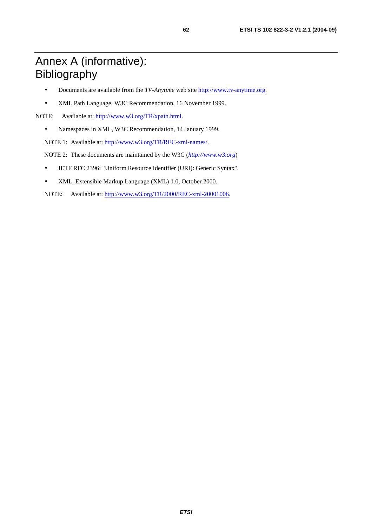# Annex A (informative): Bibliography

- Documents are available from the *TV-Anytime* web site [http://www.tv-anytime.org](http://www.tv-anytime.org/).
- XML Path Language, W3C Recommendation, 16 November 1999.

NOTE: Available at: <http://www.w3.org/TR/xpath.html>.

• Namespaces in XML, W3C Recommendation, 14 January 1999.

NOTE 1: Available at:<http://www.w3.org/TR/REC-xml-names/>.

NOTE 2: These documents are maintained by the W3C (*[http://www.w3.org](http://www.w3.org/)*)

- IETF RFC 2396: "Uniform Resource Identifier (URI): Generic Syntax".
- XML, Extensible Markup Language (XML) 1.0, October 2000.

NOTE: Available at:<http://www.w3.org/TR/2000/REC-xml-20001006>.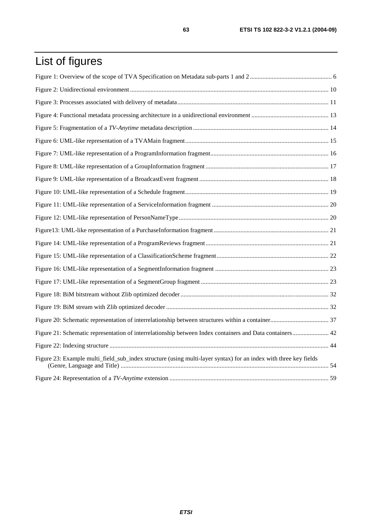# List of figures

| Figure 21: Schematic representation of interrelationship between Index containers and Data containers 42         |  |
|------------------------------------------------------------------------------------------------------------------|--|
|                                                                                                                  |  |
| Figure 23: Example multi_field_sub_index structure (using multi-layer syntax) for an index with three key fields |  |
|                                                                                                                  |  |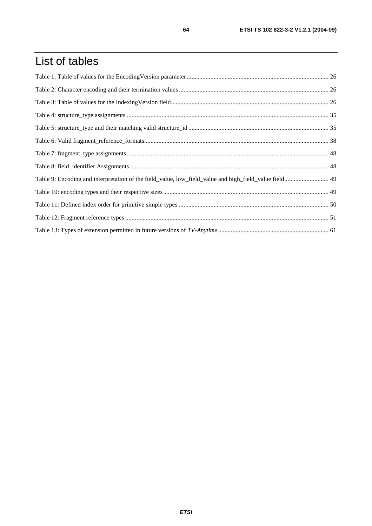# List of tables